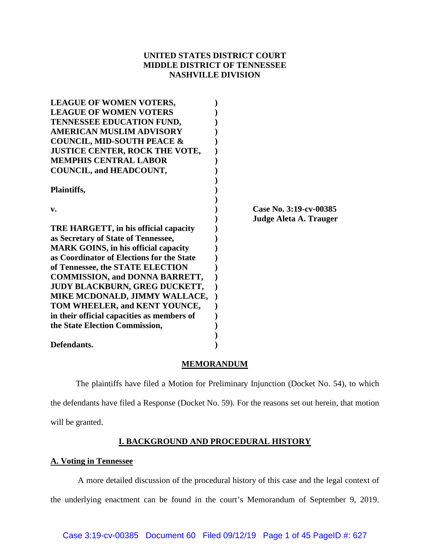# **UNITED STATES DISTRICT COURT MIDDLE DISTRICT OF TENNESSEE NASHVILLE DIVISION**

| <b>LEAGUE OF WOMEN VOTERS,</b>              |                        |
|---------------------------------------------|------------------------|
| <b>LEAGUE OF WOMEN VOTERS</b>               |                        |
| TENNESSEE EDUCATION FUND,                   |                        |
| <b>AMERICAN MUSLIM ADVISORY</b>             |                        |
| <b>COUNCIL, MID-SOUTH PEACE &amp;</b>       |                        |
| <b>JUSTICE CENTER, ROCK THE VOTE,</b>       |                        |
| <b>MEMPHIS CENTRAL LABOR</b>                |                        |
| COUNCIL, and HEADCOUNT,                     |                        |
| Plaintiffs,                                 |                        |
| v.                                          | Case No. 3:19-cv-00385 |
|                                             | Judge Aleta A. Trauger |
| TRE HARGETT, in his official capacity       |                        |
| as Secretary of State of Tennessee,         |                        |
| <b>MARK GOINS, in his official capacity</b> |                        |
| as Coordinator of Elections for the State   |                        |
| of Tennessee, the STATE ELECTION            |                        |
| <b>COMMISSION, and DONNA BARRETT,</b>       |                        |
| <b>JUDY BLACKBURN, GREG DUCKETT,</b>        |                        |
| MIKE MCDONALD, JIMMY WALLACE,               |                        |
| TOM WHEELER, and KENT YOUNCE,               |                        |
| in their official capacities as members of  |                        |
| the State Election Commission,              |                        |
|                                             |                        |
| Defendants.                                 |                        |

# **MEMORANDUM**

The plaintiffs have filed a Motion for Preliminary Injunction (Docket No. 54), to which the defendants have filed a Response (Docket No. 59). For the reasons set out herein, that motion will be granted.

# **I. BACKGROUND AND PROCEDURAL HISTORY**

# **A. Voting in Tennessee**

A more detailed discussion of the procedural history of this case and the legal context of the underlying enactment can be found in the court's Memorandum of September 9, 2019.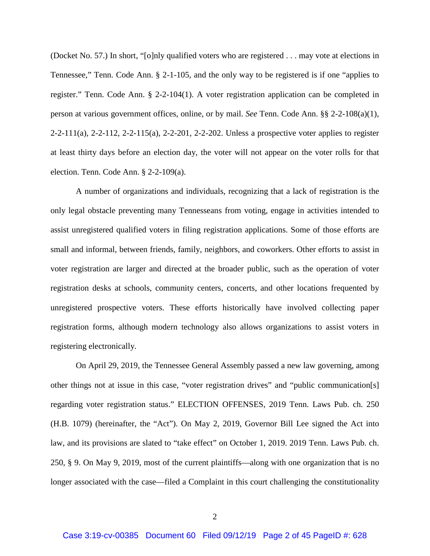(Docket No. 57.) In short, "[o]nly qualified voters who are registered . . . may vote at elections in Tennessee," Tenn. Code Ann. § 2-1-105, and the only way to be registered is if one "applies to register." Tenn. Code Ann. § 2-2-104(1). A voter registration application can be completed in person at various government offices, online, or by mail. *See* Tenn. Code Ann. §§ 2-2-108(a)(1), 2-2-111(a), 2-2-112, 2-2-115(a), 2-2-201, 2-2-202. Unless a prospective voter applies to register at least thirty days before an election day, the voter will not appear on the voter rolls for that election. Tenn. Code Ann. § 2-2-109(a).

A number of organizations and individuals, recognizing that a lack of registration is the only legal obstacle preventing many Tennesseans from voting, engage in activities intended to assist unregistered qualified voters in filing registration applications. Some of those efforts are small and informal, between friends, family, neighbors, and coworkers. Other efforts to assist in voter registration are larger and directed at the broader public, such as the operation of voter registration desks at schools, community centers, concerts, and other locations frequented by unregistered prospective voters. These efforts historically have involved collecting paper registration forms, although modern technology also allows organizations to assist voters in registering electronically.

On April 29, 2019, the Tennessee General Assembly passed a new law governing, among other things not at issue in this case, "voter registration drives" and "public communication[s] regarding voter registration status." ELECTION OFFENSES, 2019 Tenn. Laws Pub. ch. 250 (H.B. 1079) (hereinafter, the "Act"). On May 2, 2019, Governor Bill Lee signed the Act into law, and its provisions are slated to "take effect" on October 1, 2019. 2019 Tenn. Laws Pub. ch. 250, § 9. On May 9, 2019, most of the current plaintiffs—along with one organization that is no longer associated with the case—filed a Complaint in this court challenging the constitutionality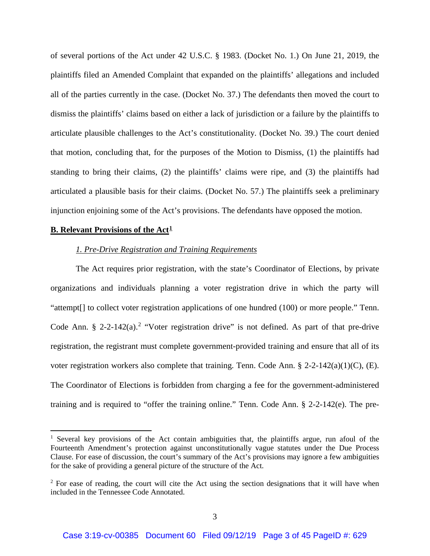of several portions of the Act under 42 U.S.C. § 1983. (Docket No. 1.) On June 21, 2019, the plaintiffs filed an Amended Complaint that expanded on the plaintiffs' allegations and included all of the parties currently in the case. (Docket No. 37.) The defendants then moved the court to dismiss the plaintiffs' claims based on either a lack of jurisdiction or a failure by the plaintiffs to articulate plausible challenges to the Act's constitutionality. (Docket No. 39.) The court denied that motion, concluding that, for the purposes of the Motion to Dismiss, (1) the plaintiffs had standing to bring their claims, (2) the plaintiffs' claims were ripe, and (3) the plaintiffs had articulated a plausible basis for their claims. (Docket No. 57.) The plaintiffs seek a preliminary injunction enjoining some of the Act's provisions. The defendants have opposed the motion.

### **B. Relevant Provisions of the Act<sup>1</sup>**

l

# *1. Pre-Drive Registration and Training Requirements*

The Act requires prior registration, with the state's Coordinator of Elections, by private organizations and individuals planning a voter registration drive in which the party will "attempt[] to collect voter registration applications of one hundred (100) or more people." Tenn. Code Ann.  $\S$  2-2-142(a).<sup>2</sup> "Voter registration drive" is not defined. As part of that pre-drive registration, the registrant must complete government-provided training and ensure that all of its voter registration workers also complete that training. Tenn. Code Ann. § 2-2-142(a)(1)(C), (E). The Coordinator of Elections is forbidden from charging a fee for the government-administered training and is required to "offer the training online." Tenn. Code Ann. § 2-2-142(e). The pre-

<sup>&</sup>lt;sup>1</sup> Several key provisions of the Act contain ambiguities that, the plaintiffs argue, run afoul of the Fourteenth Amendment's protection against unconstitutionally vague statutes under the Due Process Clause. For ease of discussion, the court's summary of the Act's provisions may ignore a few ambiguities for the sake of providing a general picture of the structure of the Act.

<sup>&</sup>lt;sup>2</sup> For ease of reading, the court will cite the Act using the section designations that it will have when included in the Tennessee Code Annotated.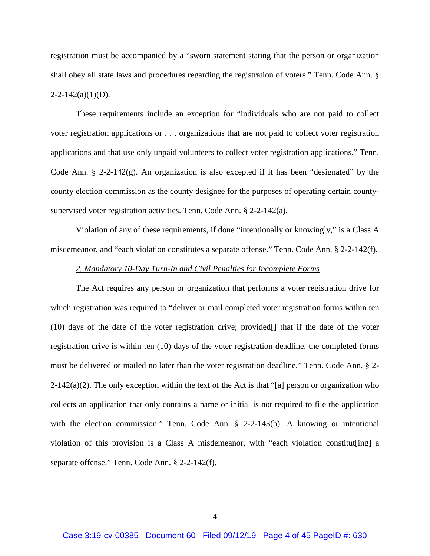registration must be accompanied by a "sworn statement stating that the person or organization shall obey all state laws and procedures regarding the registration of voters." Tenn. Code Ann. §  $2 - 2 - 142(a)(1)(D)$ .

These requirements include an exception for "individuals who are not paid to collect voter registration applications or . . . organizations that are not paid to collect voter registration applications and that use only unpaid volunteers to collect voter registration applications." Tenn. Code Ann.  $\S$  2-2-142(g). An organization is also excepted if it has been "designated" by the county election commission as the county designee for the purposes of operating certain countysupervised voter registration activities. Tenn. Code Ann. § 2-2-142(a).

Violation of any of these requirements, if done "intentionally or knowingly," is a Class A misdemeanor, and "each violation constitutes a separate offense." Tenn. Code Ann. § 2-2-142(f).

### *2. Mandatory 10-Day Turn-In and Civil Penalties for Incomplete Forms*

The Act requires any person or organization that performs a voter registration drive for which registration was required to "deliver or mail completed voter registration forms within ten (10) days of the date of the voter registration drive; provided[] that if the date of the voter registration drive is within ten (10) days of the voter registration deadline, the completed forms must be delivered or mailed no later than the voter registration deadline." Tenn. Code Ann. § 2-  $2-142(a)(2)$ . The only exception within the text of the Act is that "[a] person or organization who collects an application that only contains a name or initial is not required to file the application with the election commission." Tenn. Code Ann. § 2-2-143(b). A knowing or intentional violation of this provision is a Class A misdemeanor, with "each violation constitut[ing] a separate offense." Tenn. Code Ann. § 2-2-142(f).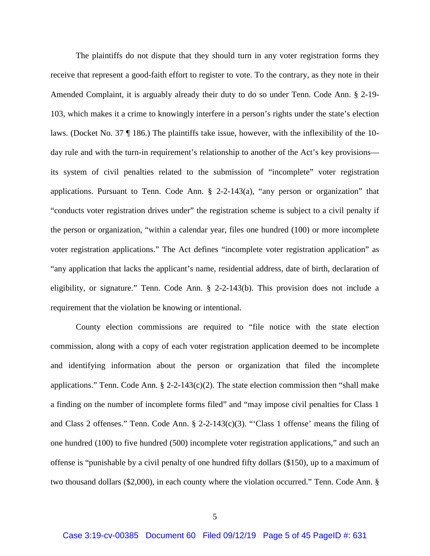The plaintiffs do not dispute that they should turn in any voter registration forms they receive that represent a good-faith effort to register to vote. To the contrary, as they note in their Amended Complaint, it is arguably already their duty to do so under Tenn. Code Ann. § 2-19- 103, which makes it a crime to knowingly interfere in a person's rights under the state's election laws. (Docket No. 37 ¶ 186.) The plaintiffs take issue, however, with the inflexibility of the 10 day rule and with the turn-in requirement's relationship to another of the Act's key provisions its system of civil penalties related to the submission of "incomplete" voter registration applications. Pursuant to Tenn. Code Ann. § 2-2-143(a), "any person or organization" that "conducts voter registration drives under" the registration scheme is subject to a civil penalty if the person or organization, "within a calendar year, files one hundred (100) or more incomplete voter registration applications." The Act defines "incomplete voter registration application" as "any application that lacks the applicant's name, residential address, date of birth, declaration of eligibility, or signature." Tenn. Code Ann. § 2-2-143(b). This provision does not include a requirement that the violation be knowing or intentional.

County election commissions are required to "file notice with the state election commission, along with a copy of each voter registration application deemed to be incomplete and identifying information about the person or organization that filed the incomplete applications." Tenn. Code Ann.  $\S$  2-2-143(c)(2). The state election commission then "shall make a finding on the number of incomplete forms filed" and "may impose civil penalties for Class 1 and Class 2 offenses." Tenn. Code Ann. § 2-2-143(c)(3). "'Class 1 offense' means the filing of one hundred (100) to five hundred (500) incomplete voter registration applications," and such an offense is "punishable by a civil penalty of one hundred fifty dollars (\$150), up to a maximum of two thousand dollars (\$2,000), in each county where the violation occurred." Tenn. Code Ann. §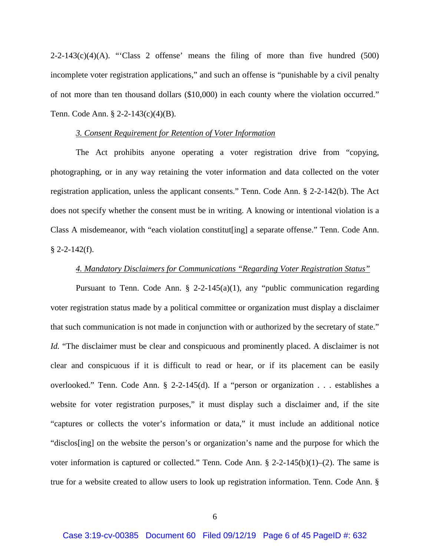$2-2-143(c)(4)(A)$ . "Class 2 offense' means the filing of more than five hundred (500) incomplete voter registration applications," and such an offense is "punishable by a civil penalty of not more than ten thousand dollars (\$10,000) in each county where the violation occurred." Tenn. Code Ann. § 2-2-143(c)(4)(B).

## *3. Consent Requirement for Retention of Voter Information*

The Act prohibits anyone operating a voter registration drive from "copying, photographing, or in any way retaining the voter information and data collected on the voter registration application, unless the applicant consents." Tenn. Code Ann. § 2-2-142(b). The Act does not specify whether the consent must be in writing. A knowing or intentional violation is a Class A misdemeanor, with "each violation constitut[ing] a separate offense." Tenn. Code Ann.  $§$  2-2-142(f).

### *4. Mandatory Disclaimers for Communications "Regarding Voter Registration Status"*

Pursuant to Tenn. Code Ann.  $\S$  2-2-145(a)(1), any "public communication regarding voter registration status made by a political committee or organization must display a disclaimer that such communication is not made in conjunction with or authorized by the secretary of state." *Id.* "The disclaimer must be clear and conspicuous and prominently placed. A disclaimer is not clear and conspicuous if it is difficult to read or hear, or if its placement can be easily overlooked." Tenn. Code Ann. § 2-2-145(d). If a "person or organization . . . establishes a website for voter registration purposes," it must display such a disclaimer and, if the site "captures or collects the voter's information or data," it must include an additional notice "disclos[ing] on the website the person's or organization's name and the purpose for which the voter information is captured or collected." Tenn. Code Ann.  $\S 2-2-145(b)(1)-(2)$ . The same is true for a website created to allow users to look up registration information. Tenn. Code Ann. §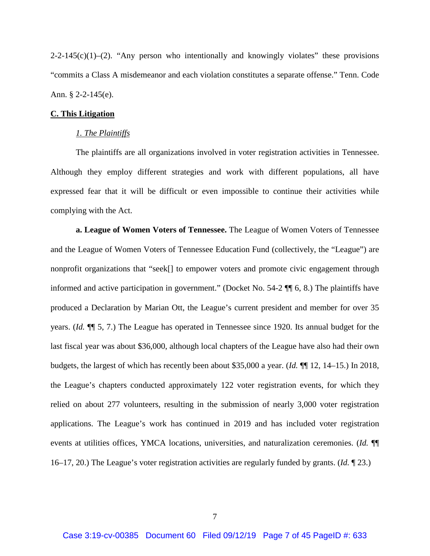$2-2-145(c)(1)$ –(2). "Any person who intentionally and knowingly violates" these provisions "commits a Class A misdemeanor and each violation constitutes a separate offense." Tenn. Code Ann. § 2-2-145(e).

### **C. This Litigation**

### *1. The Plaintiffs*

The plaintiffs are all organizations involved in voter registration activities in Tennessee. Although they employ different strategies and work with different populations, all have expressed fear that it will be difficult or even impossible to continue their activities while complying with the Act.

**a. League of Women Voters of Tennessee.** The League of Women Voters of Tennessee and the League of Women Voters of Tennessee Education Fund (collectively, the "League") are nonprofit organizations that "seek[] to empower voters and promote civic engagement through informed and active participation in government." (Docket No. 54-2 ¶¶ 6, 8.) The plaintiffs have produced a Declaration by Marian Ott, the League's current president and member for over 35 years. (*Id.* ¶¶ 5, 7.) The League has operated in Tennessee since 1920. Its annual budget for the last fiscal year was about \$36,000, although local chapters of the League have also had their own budgets, the largest of which has recently been about \$35,000 a year. (*Id.* ¶¶ 12, 14–15.) In 2018, the League's chapters conducted approximately 122 voter registration events, for which they relied on about 277 volunteers, resulting in the submission of nearly 3,000 voter registration applications. The League's work has continued in 2019 and has included voter registration events at utilities offices, YMCA locations, universities, and naturalization ceremonies. (*Id.* ¶¶ 16–17, 20.) The League's voter registration activities are regularly funded by grants. (*Id.* ¶ 23.)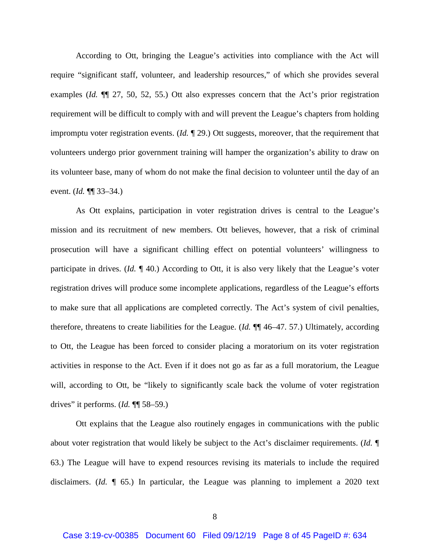According to Ott, bringing the League's activities into compliance with the Act will require "significant staff, volunteer, and leadership resources," of which she provides several examples (*Id.* ¶¶ 27, 50, 52, 55.) Ott also expresses concern that the Act's prior registration requirement will be difficult to comply with and will prevent the League's chapters from holding impromptu voter registration events. (*Id.* ¶ 29.) Ott suggests, moreover, that the requirement that volunteers undergo prior government training will hamper the organization's ability to draw on its volunteer base, many of whom do not make the final decision to volunteer until the day of an event. (*Id.* ¶¶ 33–34.)

As Ott explains, participation in voter registration drives is central to the League's mission and its recruitment of new members. Ott believes, however, that a risk of criminal prosecution will have a significant chilling effect on potential volunteers' willingness to participate in drives. (*Id.* ¶ 40.) According to Ott, it is also very likely that the League's voter registration drives will produce some incomplete applications, regardless of the League's efforts to make sure that all applications are completed correctly. The Act's system of civil penalties, therefore, threatens to create liabilities for the League. (*Id.* ¶¶ 46–47. 57.) Ultimately, according to Ott, the League has been forced to consider placing a moratorium on its voter registration activities in response to the Act. Even if it does not go as far as a full moratorium, the League will, according to Ott, be "likely to significantly scale back the volume of voter registration drives" it performs. (*Id.* ¶¶ 58–59.)

Ott explains that the League also routinely engages in communications with the public about voter registration that would likely be subject to the Act's disclaimer requirements. (*Id.* ¶ 63.) The League will have to expend resources revising its materials to include the required disclaimers. (*Id.* ¶ 65.) In particular, the League was planning to implement a 2020 text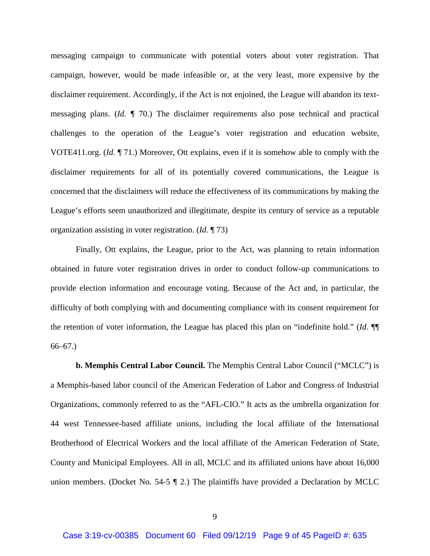messaging campaign to communicate with potential voters about voter registration. That campaign, however, would be made infeasible or, at the very least, more expensive by the disclaimer requirement. Accordingly, if the Act is not enjoined, the League will abandon its textmessaging plans. (*Id.* ¶ 70.) The disclaimer requirements also pose technical and practical challenges to the operation of the League's voter registration and education website, VOTE411.org. (*Id.* ¶ 71.) Moreover, Ott explains, even if it is somehow able to comply with the disclaimer requirements for all of its potentially covered communications, the League is concerned that the disclaimers will reduce the effectiveness of its communications by making the League's efforts seem unauthorized and illegitimate, despite its century of service as a reputable organization assisting in voter registration. (*Id.* ¶ 73)

Finally, Ott explains, the League, prior to the Act, was planning to retain information obtained in future voter registration drives in order to conduct follow-up communications to provide election information and encourage voting. Because of the Act and, in particular, the difficulty of both complying with and documenting compliance with its consent requirement for the retention of voter information, the League has placed this plan on "indefinite hold." (*Id.* ¶¶ 66–67.)

**b. Memphis Central Labor Council.** The Memphis Central Labor Council ("MCLC") is a Memphis-based labor council of the American Federation of Labor and Congress of Industrial Organizations, commonly referred to as the "AFL-CIO." It acts as the umbrella organization for 44 west Tennessee-based affiliate unions, including the local affiliate of the International Brotherhood of Electrical Workers and the local affiliate of the American Federation of State, County and Municipal Employees. All in all, MCLC and its affiliated unions have about 16,000 union members. (Docket No. 54-5 ¶ 2.) The plaintiffs have provided a Declaration by MCLC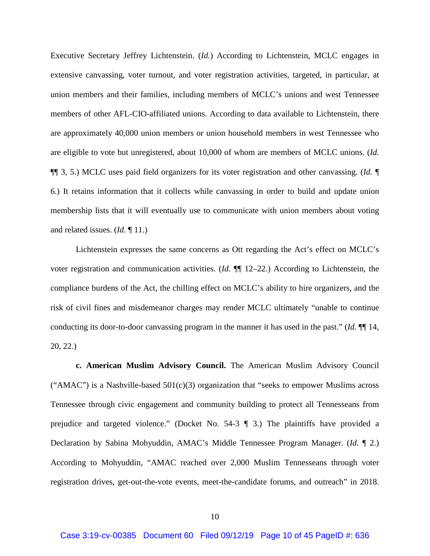Executive Secretary Jeffrey Lichtenstein. (*Id.*) According to Lichtenstein, MCLC engages in extensive canvassing, voter turnout, and voter registration activities, targeted, in particular, at union members and their families, including members of MCLC's unions and west Tennessee members of other AFL-CIO-affiliated unions. According to data available to Lichtenstein, there are approximately 40,000 union members or union household members in west Tennessee who are eligible to vote but unregistered, about 10,000 of whom are members of MCLC unions. (*Id.* ¶¶ 3, 5.) MCLC uses paid field organizers for its voter registration and other canvassing. (*Id.* ¶ 6.) It retains information that it collects while canvassing in order to build and update union membership lists that it will eventually use to communicate with union members about voting and related issues. (*Id.* ¶ 11.)

Lichtenstein expresses the same concerns as Ott regarding the Act's effect on MCLC's voter registration and communication activities. (*Id.* ¶¶ 12–22.) According to Lichtenstein, the compliance burdens of the Act, the chilling effect on MCLC's ability to hire organizers, and the risk of civil fines and misdemeanor charges may render MCLC ultimately "unable to continue conducting its door-to-door canvassing program in the manner it has used in the past." (*Id.* ¶¶ 14, 20, 22.)

**c. American Muslim Advisory Council.** The American Muslim Advisory Council ("AMAC") is a Nashville-based  $501(c)(3)$  organization that "seeks to empower Muslims across Tennessee through civic engagement and community building to protect all Tennesseans from prejudice and targeted violence." (Docket No. 54-3 ¶ 3.) The plaintiffs have provided a Declaration by Sabina Mohyuddin, AMAC's Middle Tennessee Program Manager. (*Id.* ¶ 2.) According to Mohyuddin, "AMAC reached over 2,000 Muslim Tennesseans through voter registration drives, get-out-the-vote events, meet-the-candidate forums, and outreach" in 2018.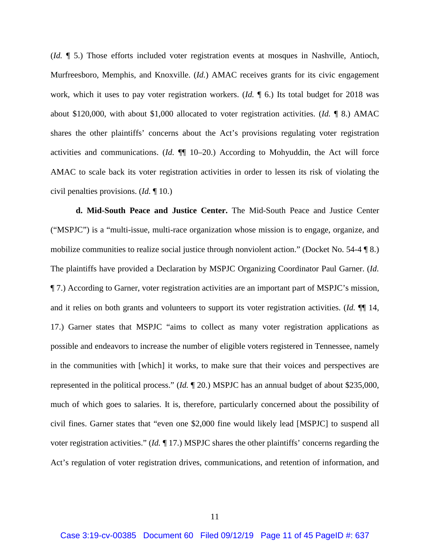(*Id.* ¶ 5.) Those efforts included voter registration events at mosques in Nashville, Antioch, Murfreesboro, Memphis, and Knoxville. (*Id.*) AMAC receives grants for its civic engagement work, which it uses to pay voter registration workers. (*Id.* ¶ 6.) Its total budget for 2018 was about \$120,000, with about \$1,000 allocated to voter registration activities. (*Id.* ¶ 8.) AMAC shares the other plaintiffs' concerns about the Act's provisions regulating voter registration activities and communications. (*Id.* ¶¶ 10–20.) According to Mohyuddin, the Act will force AMAC to scale back its voter registration activities in order to lessen its risk of violating the civil penalties provisions. (*Id.* ¶ 10.)

**d. Mid-South Peace and Justice Center.** The Mid-South Peace and Justice Center ("MSPJC") is a "multi-issue, multi-race organization whose mission is to engage, organize, and mobilize communities to realize social justice through nonviolent action." (Docket No. 54-4 ¶ 8.) The plaintiffs have provided a Declaration by MSPJC Organizing Coordinator Paul Garner. (*Id.* ¶ 7.) According to Garner, voter registration activities are an important part of MSPJC's mission, and it relies on both grants and volunteers to support its voter registration activities. (*Id.* ¶¶ 14, 17.) Garner states that MSPJC "aims to collect as many voter registration applications as possible and endeavors to increase the number of eligible voters registered in Tennessee, namely in the communities with [which] it works, to make sure that their voices and perspectives are represented in the political process." (*Id.* ¶ 20.) MSPJC has an annual budget of about \$235,000, much of which goes to salaries. It is, therefore, particularly concerned about the possibility of civil fines. Garner states that "even one \$2,000 fine would likely lead [MSPJC] to suspend all voter registration activities." (*Id.* ¶ 17.) MSPJC shares the other plaintiffs' concerns regarding the Act's regulation of voter registration drives, communications, and retention of information, and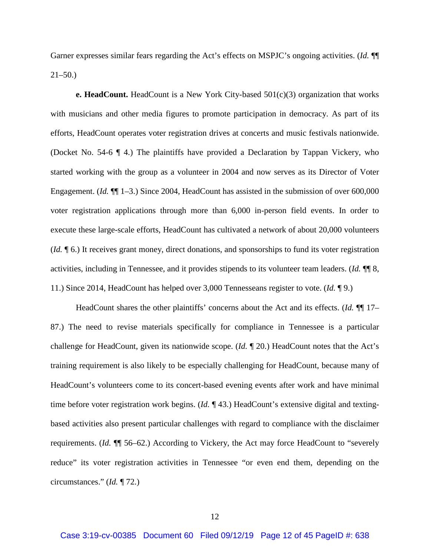Garner expresses similar fears regarding the Act's effects on MSPJC's ongoing activities. (*Id.* ¶¶  $21-50.$ )

**e. HeadCount.** HeadCount is a New York City-based 501(c)(3) organization that works with musicians and other media figures to promote participation in democracy. As part of its efforts, HeadCount operates voter registration drives at concerts and music festivals nationwide. (Docket No. 54-6 ¶ 4.) The plaintiffs have provided a Declaration by Tappan Vickery, who started working with the group as a volunteer in 2004 and now serves as its Director of Voter Engagement. (*Id.*  $\P$ [1–3.) Since 2004, HeadCount has assisted in the submission of over 600,000 voter registration applications through more than 6,000 in-person field events. In order to execute these large-scale efforts, HeadCount has cultivated a network of about 20,000 volunteers (*Id.* ¶ 6.) It receives grant money, direct donations, and sponsorships to fund its voter registration activities, including in Tennessee, and it provides stipends to its volunteer team leaders. (*Id.* ¶¶ 8, 11.) Since 2014, HeadCount has helped over 3,000 Tennesseans register to vote. (*Id.* ¶ 9.)

HeadCount shares the other plaintiffs' concerns about the Act and its effects. (*Id.* ¶¶ 17– 87.) The need to revise materials specifically for compliance in Tennessee is a particular challenge for HeadCount, given its nationwide scope. (*Id.* ¶ 20.) HeadCount notes that the Act's training requirement is also likely to be especially challenging for HeadCount, because many of HeadCount's volunteers come to its concert-based evening events after work and have minimal time before voter registration work begins. (*Id.* ¶ 43.) HeadCount's extensive digital and textingbased activities also present particular challenges with regard to compliance with the disclaimer requirements. (*Id.* ¶¶ 56–62.) According to Vickery, the Act may force HeadCount to "severely reduce" its voter registration activities in Tennessee "or even end them, depending on the circumstances." (*Id.* ¶ 72.)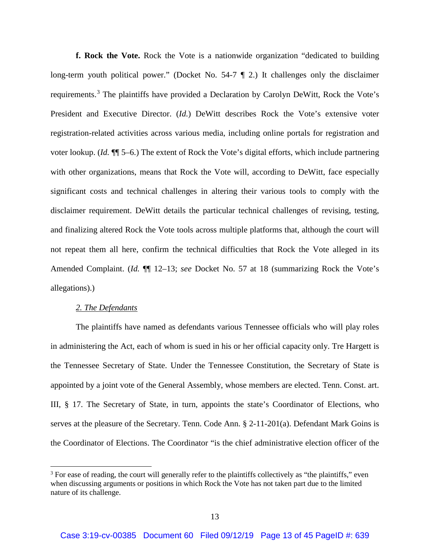**f. Rock the Vote.** Rock the Vote is a nationwide organization "dedicated to building long-term youth political power." (Docket No. 54-7 ¶ 2.) It challenges only the disclaimer requirements.<sup>3</sup> The plaintiffs have provided a Declaration by Carolyn DeWitt, Rock the Vote's President and Executive Director. (*Id.*) DeWitt describes Rock the Vote's extensive voter registration-related activities across various media, including online portals for registration and voter lookup. (*Id.* ¶¶ 5–6.) The extent of Rock the Vote's digital efforts, which include partnering with other organizations, means that Rock the Vote will, according to DeWitt, face especially significant costs and technical challenges in altering their various tools to comply with the disclaimer requirement. DeWitt details the particular technical challenges of revising, testing, and finalizing altered Rock the Vote tools across multiple platforms that, although the court will not repeat them all here, confirm the technical difficulties that Rock the Vote alleged in its Amended Complaint. (*Id.* ¶¶ 12–13; *see* Docket No. 57 at 18 (summarizing Rock the Vote's allegations).)

# *2. The Defendants*

l

The plaintiffs have named as defendants various Tennessee officials who will play roles in administering the Act, each of whom is sued in his or her official capacity only. Tre Hargett is the Tennessee Secretary of State. Under the Tennessee Constitution, the Secretary of State is appointed by a joint vote of the General Assembly, whose members are elected. Tenn. Const. art. III, § 17. The Secretary of State, in turn, appoints the state's Coordinator of Elections, who serves at the pleasure of the Secretary. Tenn. Code Ann. § 2-11-201(a). Defendant Mark Goins is the Coordinator of Elections. The Coordinator "is the chief administrative election officer of the

<sup>&</sup>lt;sup>3</sup> For ease of reading, the court will generally refer to the plaintiffs collectively as "the plaintiffs," even when discussing arguments or positions in which Rock the Vote has not taken part due to the limited nature of its challenge.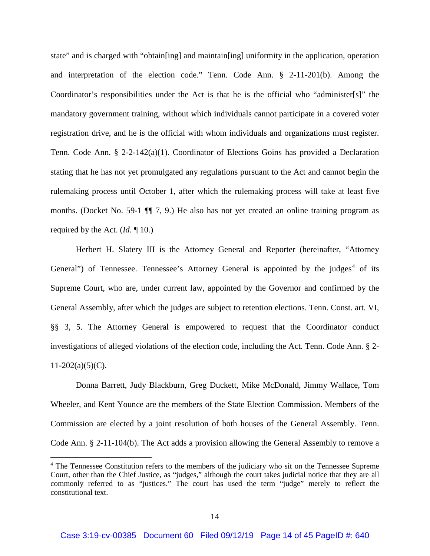state" and is charged with "obtain[ing] and maintain[ing] uniformity in the application, operation and interpretation of the election code." Tenn. Code Ann. § 2-11-201(b). Among the Coordinator's responsibilities under the Act is that he is the official who "administer[s]" the mandatory government training, without which individuals cannot participate in a covered voter registration drive, and he is the official with whom individuals and organizations must register. Tenn. Code Ann. § 2-2-142(a)(1). Coordinator of Elections Goins has provided a Declaration stating that he has not yet promulgated any regulations pursuant to the Act and cannot begin the rulemaking process until October 1, after which the rulemaking process will take at least five months. (Docket No. 59-1 ¶¶ 7, 9.) He also has not yet created an online training program as required by the Act. (*Id.* ¶ 10.)

Herbert H. Slatery III is the Attorney General and Reporter (hereinafter, "Attorney General") of Tennessee. Tennessee's Attorney General is appointed by the judges<sup>4</sup> of its Supreme Court, who are, under current law, appointed by the Governor and confirmed by the General Assembly, after which the judges are subject to retention elections. Tenn. Const. art. VI, §§ 3, 5. The Attorney General is empowered to request that the Coordinator conduct investigations of alleged violations of the election code, including the Act. Tenn. Code Ann. § 2-  $11-202(a)(5)(C)$ .

Donna Barrett, Judy Blackburn, Greg Duckett, Mike McDonald, Jimmy Wallace, Tom Wheeler, and Kent Younce are the members of the State Election Commission. Members of the Commission are elected by a joint resolution of both houses of the General Assembly. Tenn. Code Ann. § 2-11-104(b). The Act adds a provision allowing the General Assembly to remove a

 $\overline{\phantom{a}}$ 

<sup>&</sup>lt;sup>4</sup> The Tennessee Constitution refers to the members of the judiciary who sit on the Tennessee Supreme Court, other than the Chief Justice, as "judges," although the court takes judicial notice that they are all commonly referred to as "justices." The court has used the term "judge" merely to reflect the constitutional text.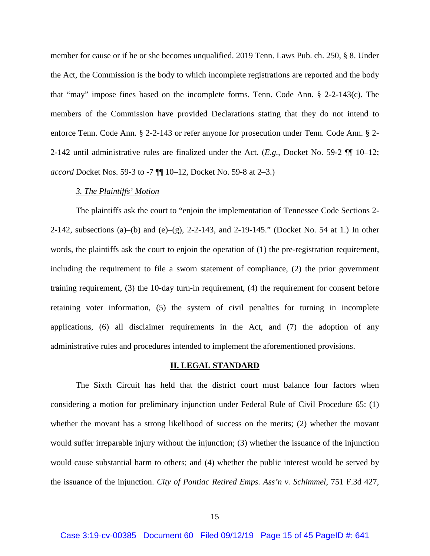member for cause or if he or she becomes unqualified. 2019 Tenn. Laws Pub. ch. 250, § 8. Under the Act, the Commission is the body to which incomplete registrations are reported and the body that "may" impose fines based on the incomplete forms. Tenn. Code Ann. § 2-2-143(c). The members of the Commission have provided Declarations stating that they do not intend to enforce Tenn. Code Ann. § 2-2-143 or refer anyone for prosecution under Tenn. Code Ann. § 2- 2-142 until administrative rules are finalized under the Act. (*E.g.*, Docket No. 59-2 ¶¶ 10–12; *accord* Docket Nos. 59-3 to -7 ¶¶ 10–12, Docket No. 59-8 at 2–3.)

### *3. The Plaintiffs' Motion*

The plaintiffs ask the court to "enjoin the implementation of Tennessee Code Sections 2- 2-142, subsections (a)–(b) and (e)–(g), 2-2-143, and 2-19-145." (Docket No. 54 at 1.) In other words, the plaintiffs ask the court to enjoin the operation of (1) the pre-registration requirement, including the requirement to file a sworn statement of compliance, (2) the prior government training requirement, (3) the 10-day turn-in requirement, (4) the requirement for consent before retaining voter information, (5) the system of civil penalties for turning in incomplete applications, (6) all disclaimer requirements in the Act, and (7) the adoption of any administrative rules and procedures intended to implement the aforementioned provisions.

#### **II. LEGAL STANDARD**

The Sixth Circuit has held that the district court must balance four factors when considering a motion for preliminary injunction under Federal Rule of Civil Procedure 65: (1) whether the movant has a strong likelihood of success on the merits; (2) whether the movant would suffer irreparable injury without the injunction; (3) whether the issuance of the injunction would cause substantial harm to others; and (4) whether the public interest would be served by the issuance of the injunction. *City of Pontiac Retired Emps. Ass'n v. Schimmel*, 751 F.3d 427,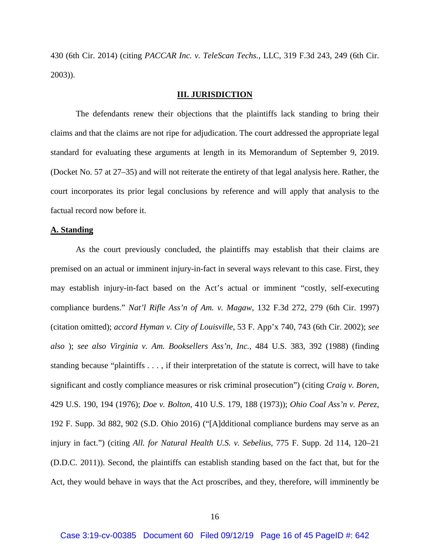430 (6th Cir. 2014) (citing *PACCAR Inc. v. TeleScan Techs.*, LLC, 319 F.3d 243, 249 (6th Cir. 2003)).

## **III. JURISDICTION**

The defendants renew their objections that the plaintiffs lack standing to bring their claims and that the claims are not ripe for adjudication. The court addressed the appropriate legal standard for evaluating these arguments at length in its Memorandum of September 9, 2019. (Docket No. 57 at 27–35) and will not reiterate the entirety of that legal analysis here. Rather, the court incorporates its prior legal conclusions by reference and will apply that analysis to the factual record now before it.

### **A. Standing**

As the court previously concluded, the plaintiffs may establish that their claims are premised on an actual or imminent injury-in-fact in several ways relevant to this case. First, they may establish injury-in-fact based on the Act's actual or imminent "costly, self-executing compliance burdens." *Nat'l Rifle Ass'n of Am. v. Magaw*, 132 F.3d 272, 279 (6th Cir. 1997) (citation omitted); *accord Hyman v. City of Louisville*, 53 F. App'x 740, 743 (6th Cir. 2002); *see also* ); *see also Virginia v. Am. Booksellers Ass'n, Inc.*, 484 U.S. 383, 392 (1988) (finding standing because "plaintiffs . . . , if their interpretation of the statute is correct, will have to take significant and costly compliance measures or risk criminal prosecution") (citing *Craig v. Boren*, 429 U.S. 190, 194 (1976); *Doe v. Bolton*, 410 U.S. 179, 188 (1973)); *Ohio Coal Ass'n v. Perez*, 192 F. Supp. 3d 882, 902 (S.D. Ohio 2016) ("[A]dditional compliance burdens may serve as an injury in fact.") (citing *All. for Natural Health U.S. v. Sebelius*, 775 F. Supp. 2d 114, 120–21 (D.D.C. 2011)). Second, the plaintiffs can establish standing based on the fact that, but for the Act, they would behave in ways that the Act proscribes, and they, therefore, will imminently be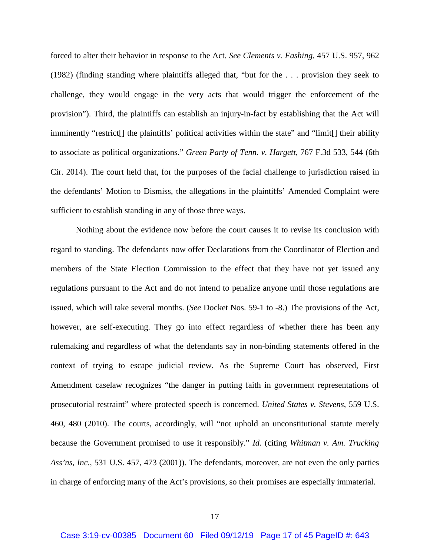forced to alter their behavior in response to the Act. *See Clements v. Fashing*, 457 U.S. 957, 962 (1982) (finding standing where plaintiffs alleged that, "but for the . . . provision they seek to challenge, they would engage in the very acts that would trigger the enforcement of the provision"). Third, the plaintiffs can establish an injury-in-fact by establishing that the Act will imminently "restrict[] the plaintiffs' political activities within the state" and "limit[] their ability to associate as political organizations." *Green Party of Tenn. v. Hargett*, 767 F.3d 533, 544 (6th Cir. 2014). The court held that, for the purposes of the facial challenge to jurisdiction raised in the defendants' Motion to Dismiss, the allegations in the plaintiffs' Amended Complaint were sufficient to establish standing in any of those three ways.

Nothing about the evidence now before the court causes it to revise its conclusion with regard to standing. The defendants now offer Declarations from the Coordinator of Election and members of the State Election Commission to the effect that they have not yet issued any regulations pursuant to the Act and do not intend to penalize anyone until those regulations are issued, which will take several months. (*See* Docket Nos. 59-1 to -8.) The provisions of the Act, however, are self-executing. They go into effect regardless of whether there has been any rulemaking and regardless of what the defendants say in non-binding statements offered in the context of trying to escape judicial review. As the Supreme Court has observed, First Amendment caselaw recognizes "the danger in putting faith in government representations of prosecutorial restraint" where protected speech is concerned. *United States v. Stevens*, 559 U.S. 460, 480 (2010). The courts, accordingly, will "not uphold an unconstitutional statute merely because the Government promised to use it responsibly." *Id.* (citing *Whitman v. Am. Trucking Ass'ns, Inc.*, 531 U.S. 457, 473 (2001)). The defendants, moreover, are not even the only parties in charge of enforcing many of the Act's provisions, so their promises are especially immaterial.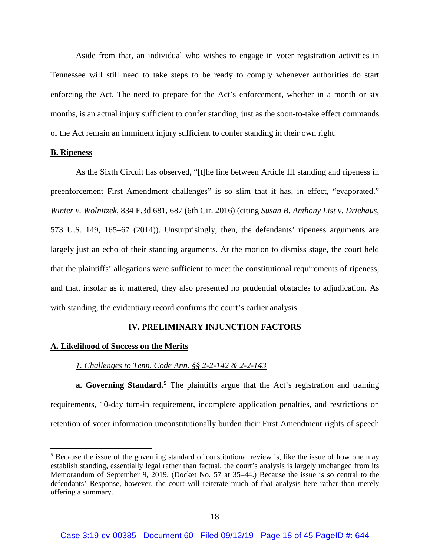Aside from that, an individual who wishes to engage in voter registration activities in Tennessee will still need to take steps to be ready to comply whenever authorities do start enforcing the Act. The need to prepare for the Act's enforcement, whether in a month or six months, is an actual injury sufficient to confer standing, just as the soon-to-take effect commands of the Act remain an imminent injury sufficient to confer standing in their own right.

### **B. Ripeness**

 $\overline{\phantom{a}}$ 

As the Sixth Circuit has observed, "[t]he line between Article III standing and ripeness in preenforcement First Amendment challenges" is so slim that it has, in effect, "evaporated." *Winter v. Wolnitzek*, 834 F.3d 681, 687 (6th Cir. 2016) (citing *Susan B. Anthony List v. Driehaus*, 573 U.S. 149, 165–67 (2014)). Unsurprisingly, then, the defendants' ripeness arguments are largely just an echo of their standing arguments. At the motion to dismiss stage, the court held that the plaintiffs' allegations were sufficient to meet the constitutional requirements of ripeness, and that, insofar as it mattered, they also presented no prudential obstacles to adjudication. As with standing, the evidentiary record confirms the court's earlier analysis.

# **IV. PRELIMINARY INJUNCTION FACTORS**

### **A. Likelihood of Success on the Merits**

# *1. Challenges to Tenn. Code Ann. §§ 2-2-142 & 2-2-143*

**a. Governing Standard.**<sup>5</sup> The plaintiffs argue that the Act's registration and training requirements, 10-day turn-in requirement, incomplete application penalties, and restrictions on retention of voter information unconstitutionally burden their First Amendment rights of speech

<sup>&</sup>lt;sup>5</sup> Because the issue of the governing standard of constitutional review is, like the issue of how one may establish standing, essentially legal rather than factual, the court's analysis is largely unchanged from its Memorandum of September 9, 2019. (Docket No. 57 at 35–44.) Because the issue is so central to the defendants' Response, however, the court will reiterate much of that analysis here rather than merely offering a summary.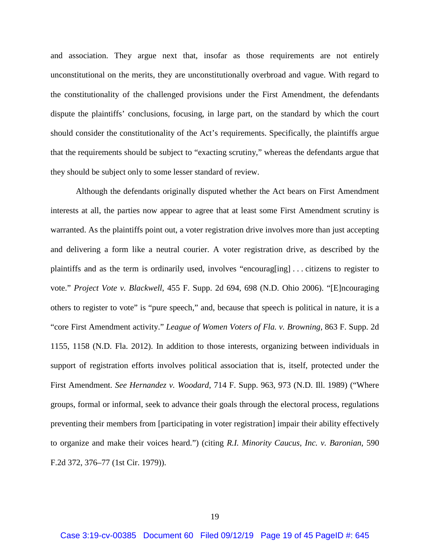and association. They argue next that, insofar as those requirements are not entirely unconstitutional on the merits, they are unconstitutionally overbroad and vague. With regard to the constitutionality of the challenged provisions under the First Amendment, the defendants dispute the plaintiffs' conclusions, focusing, in large part, on the standard by which the court should consider the constitutionality of the Act's requirements. Specifically, the plaintiffs argue that the requirements should be subject to "exacting scrutiny," whereas the defendants argue that they should be subject only to some lesser standard of review.

Although the defendants originally disputed whether the Act bears on First Amendment interests at all, the parties now appear to agree that at least some First Amendment scrutiny is warranted. As the plaintiffs point out, a voter registration drive involves more than just accepting and delivering a form like a neutral courier. A voter registration drive, as described by the plaintiffs and as the term is ordinarily used, involves "encourag[ing] . . . citizens to register to vote." *Project Vote v. Blackwell*, 455 F. Supp. 2d 694, 698 (N.D. Ohio 2006). "[E]ncouraging others to register to vote" is "pure speech," and, because that speech is political in nature, it is a "core First Amendment activity." *League of Women Voters of Fla. v. Browning*, 863 F. Supp. 2d 1155, 1158 (N.D. Fla. 2012). In addition to those interests, organizing between individuals in support of registration efforts involves political association that is, itself, protected under the First Amendment. *See Hernandez v. Woodard*, 714 F. Supp. 963, 973 (N.D. Ill. 1989) ("Where groups, formal or informal, seek to advance their goals through the electoral process, regulations preventing their members from [participating in voter registration] impair their ability effectively to organize and make their voices heard.") (citing *R.I. Minority Caucus, Inc. v. Baronian*, 590 F.2d 372, 376–77 (1st Cir. 1979)).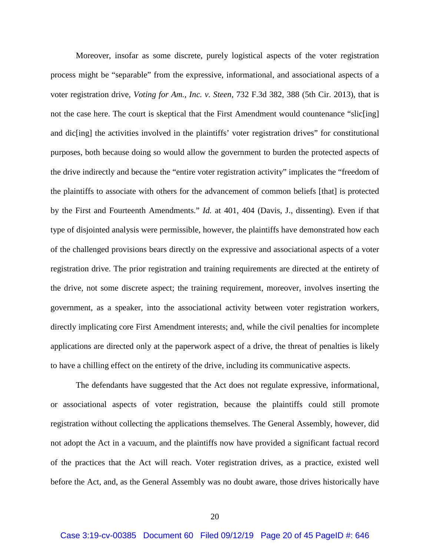Moreover, insofar as some discrete, purely logistical aspects of the voter registration process might be "separable" from the expressive, informational, and associational aspects of a voter registration drive, *Voting for Am., Inc. v. Steen*, 732 F.3d 382, 388 (5th Cir. 2013), that is not the case here. The court is skeptical that the First Amendment would countenance "slic[ing] and dic[ing] the activities involved in the plaintiffs' voter registration drives" for constitutional purposes, both because doing so would allow the government to burden the protected aspects of the drive indirectly and because the "entire voter registration activity" implicates the "freedom of the plaintiffs to associate with others for the advancement of common beliefs [that] is protected by the First and Fourteenth Amendments." *Id.* at 401, 404 (Davis, J., dissenting). Even if that type of disjointed analysis were permissible, however, the plaintiffs have demonstrated how each of the challenged provisions bears directly on the expressive and associational aspects of a voter registration drive. The prior registration and training requirements are directed at the entirety of the drive, not some discrete aspect; the training requirement, moreover, involves inserting the government, as a speaker, into the associational activity between voter registration workers, directly implicating core First Amendment interests; and, while the civil penalties for incomplete applications are directed only at the paperwork aspect of a drive, the threat of penalties is likely to have a chilling effect on the entirety of the drive, including its communicative aspects.

The defendants have suggested that the Act does not regulate expressive, informational, or associational aspects of voter registration, because the plaintiffs could still promote registration without collecting the applications themselves. The General Assembly, however, did not adopt the Act in a vacuum, and the plaintiffs now have provided a significant factual record of the practices that the Act will reach. Voter registration drives, as a practice, existed well before the Act, and, as the General Assembly was no doubt aware, those drives historically have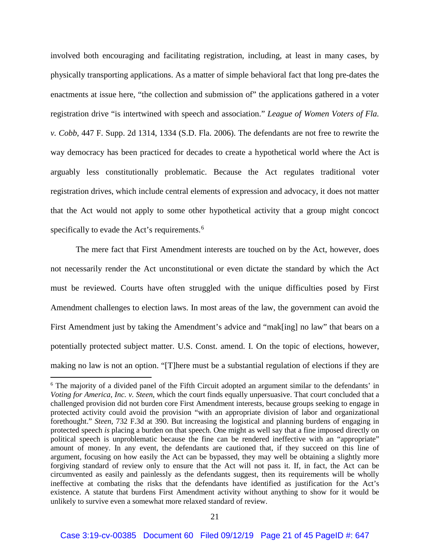involved both encouraging and facilitating registration, including, at least in many cases, by physically transporting applications. As a matter of simple behavioral fact that long pre-dates the enactments at issue here, "the collection and submission of" the applications gathered in a voter registration drive "is intertwined with speech and association." *League of Women Voters of Fla. v. Cobb*, 447 F. Supp. 2d 1314, 1334 (S.D. Fla. 2006). The defendants are not free to rewrite the way democracy has been practiced for decades to create a hypothetical world where the Act is arguably less constitutionally problematic. Because the Act regulates traditional voter registration drives, which include central elements of expression and advocacy, it does not matter that the Act would not apply to some other hypothetical activity that a group might concoct specifically to evade the Act's requirements.<sup>6</sup>

The mere fact that First Amendment interests are touched on by the Act, however, does not necessarily render the Act unconstitutional or even dictate the standard by which the Act must be reviewed. Courts have often struggled with the unique difficulties posed by First Amendment challenges to election laws. In most areas of the law, the government can avoid the First Amendment just by taking the Amendment's advice and "mak[ing] no law" that bears on a potentially protected subject matter. U.S. Const. amend. I. On the topic of elections, however, making no law is not an option. "[T]here must be a substantial regulation of elections if they are

 $\overline{\phantom{a}}$ 

<sup>6</sup> The majority of a divided panel of the Fifth Circuit adopted an argument similar to the defendants' in *Voting for America, Inc. v. Steen*, which the court finds equally unpersuasive. That court concluded that a challenged provision did not burden core First Amendment interests, because groups seeking to engage in protected activity could avoid the provision "with an appropriate division of labor and organizational forethought." *Steen*, 732 F.3d at 390. But increasing the logistical and planning burdens of engaging in protected speech *is* placing a burden on that speech. One might as well say that a fine imposed directly on political speech is unproblematic because the fine can be rendered ineffective with an "appropriate" amount of money. In any event, the defendants are cautioned that, if they succeed on this line of argument, focusing on how easily the Act can be bypassed, they may well be obtaining a slightly more forgiving standard of review only to ensure that the Act will not pass it. If, in fact, the Act can be circumvented as easily and painlessly as the defendants suggest, then its requirements will be wholly ineffective at combating the risks that the defendants have identified as justification for the Act's existence. A statute that burdens First Amendment activity without anything to show for it would be unlikely to survive even a somewhat more relaxed standard of review.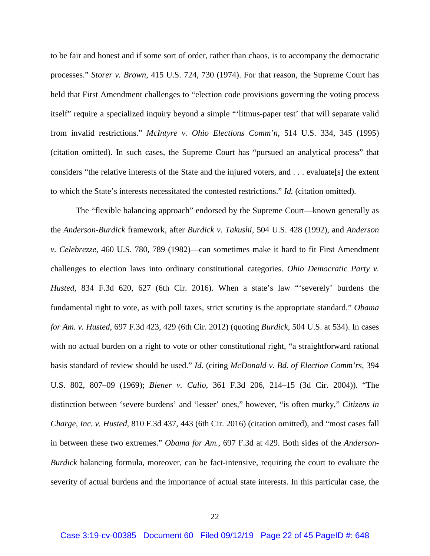to be fair and honest and if some sort of order, rather than chaos, is to accompany the democratic processes." *Storer v. Brown*, 415 U.S. 724, 730 (1974). For that reason, the Supreme Court has held that First Amendment challenges to "election code provisions governing the voting process itself" require a specialized inquiry beyond a simple "'litmus-paper test' that will separate valid from invalid restrictions." *McIntyre v. Ohio Elections Comm'n*, 514 U.S. 334, 345 (1995) (citation omitted). In such cases, the Supreme Court has "pursued an analytical process" that considers "the relative interests of the State and the injured voters, and . . . evaluate[s] the extent to which the State's interests necessitated the contested restrictions." *Id.* (citation omitted).

The "flexible balancing approach" endorsed by the Supreme Court—known generally as the *Anderson*-*Burdick* framework, after *Burdick v. Takushi*, 504 U.S. 428 (1992), and *Anderson v. Celebrezze*, 460 U.S. 780, 789 (1982)—can sometimes make it hard to fit First Amendment challenges to election laws into ordinary constitutional categories. *Ohio Democratic Party v. Husted*, 834 F.3d 620, 627 (6th Cir. 2016). When a state's law "'severely' burdens the fundamental right to vote, as with poll taxes, strict scrutiny is the appropriate standard." *Obama for Am. v. Husted*, 697 F.3d 423, 429 (6th Cir. 2012) (quoting *Burdick*, 504 U.S. at 534). In cases with no actual burden on a right to vote or other constitutional right, "a straightforward rational basis standard of review should be used." *Id.* (citing *McDonald v. Bd. of Election Comm'rs*, 394 U.S. 802, 807–09 (1969); *Biener v. Calio*, 361 F.3d 206, 214–15 (3d Cir. 2004)). "The distinction between 'severe burdens' and 'lesser' ones," however, "is often murky," *Citizens in Charge, Inc. v. Husted*, 810 F.3d 437, 443 (6th Cir. 2016) (citation omitted), and "most cases fall in between these two extremes." *Obama for Am.*, 697 F.3d at 429. Both sides of the *Anderson*-*Burdick* balancing formula, moreover, can be fact-intensive, requiring the court to evaluate the severity of actual burdens and the importance of actual state interests. In this particular case, the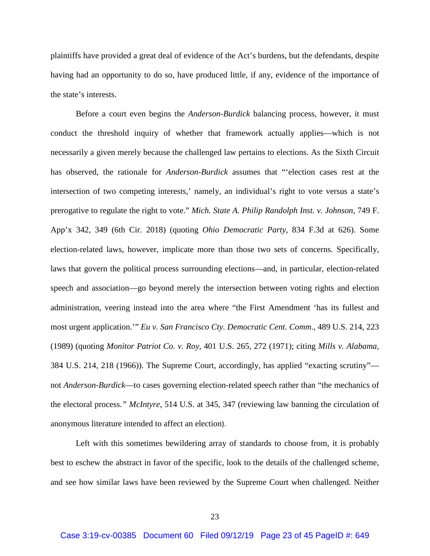plaintiffs have provided a great deal of evidence of the Act's burdens, but the defendants, despite having had an opportunity to do so, have produced little, if any, evidence of the importance of the state's interests.

Before a court even begins the *Anderson*-*Burdick* balancing process, however, it must conduct the threshold inquiry of whether that framework actually applies—which is not necessarily a given merely because the challenged law pertains to elections. As the Sixth Circuit has observed, the rationale for *Anderson*-*Burdick* assumes that "'election cases rest at the intersection of two competing interests,' namely, an individual's right to vote versus a state's prerogative to regulate the right to vote." *Mich. State A. Philip Randolph Inst. v. Johnson*, 749 F. App'x 342, 349 (6th Cir. 2018) (quoting *Ohio Democratic Party*, 834 F.3d at 626). Some election-related laws, however, implicate more than those two sets of concerns. Specifically, laws that govern the political process surrounding elections—and, in particular, election-related speech and association—go beyond merely the intersection between voting rights and election administration, veering instead into the area where "the First Amendment 'has its fullest and most urgent application.'" *Eu v. San Francisco Cty. Democratic Cent. Comm*., 489 U.S. 214, 223 (1989) (quoting *Monitor Patriot Co. v. Roy*, 401 U.S. 265, 272 (1971); citing *Mills v. Alabama*, 384 U.S. 214, 218 (1966)). The Supreme Court, accordingly, has applied "exacting scrutiny" not *Anderson*-*Burdick*—to cases governing election-related speech rather than "the mechanics of the electoral process*." McIntyre*, 514 U.S. at 345, 347 (reviewing law banning the circulation of anonymous literature intended to affect an election).

Left with this sometimes bewildering array of standards to choose from, it is probably best to eschew the abstract in favor of the specific, look to the details of the challenged scheme, and see how similar laws have been reviewed by the Supreme Court when challenged. Neither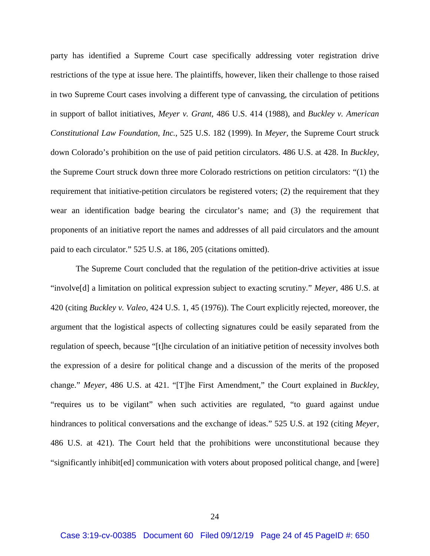party has identified a Supreme Court case specifically addressing voter registration drive restrictions of the type at issue here. The plaintiffs, however, liken their challenge to those raised in two Supreme Court cases involving a different type of canvassing, the circulation of petitions in support of ballot initiatives, *Meyer v. Grant*, 486 U.S. 414 (1988), and *Buckley v. American Constitutional Law Foundation, Inc.*, 525 U.S. 182 (1999). In *Meyer*, the Supreme Court struck down Colorado's prohibition on the use of paid petition circulators. 486 U.S. at 428. In *Buckley*, the Supreme Court struck down three more Colorado restrictions on petition circulators: "(1) the requirement that initiative-petition circulators be registered voters; (2) the requirement that they wear an identification badge bearing the circulator's name; and (3) the requirement that proponents of an initiative report the names and addresses of all paid circulators and the amount paid to each circulator." 525 U.S. at 186, 205 (citations omitted).

The Supreme Court concluded that the regulation of the petition-drive activities at issue "involve[d] a limitation on political expression subject to exacting scrutiny." *Meyer*, 486 U.S. at 420 (citing *Buckley v. Valeo*, 424 U.S. 1, 45 (1976)). The Court explicitly rejected, moreover, the argument that the logistical aspects of collecting signatures could be easily separated from the regulation of speech, because "[t]he circulation of an initiative petition of necessity involves both the expression of a desire for political change and a discussion of the merits of the proposed change." *Meyer*, 486 U.S. at 421. "[T]he First Amendment," the Court explained in *Buckley*, "requires us to be vigilant" when such activities are regulated, "to guard against undue hindrances to political conversations and the exchange of ideas." 525 U.S. at 192 (citing *Meyer*, 486 U.S. at 421). The Court held that the prohibitions were unconstitutional because they "significantly inhibit[ed] communication with voters about proposed political change, and [were]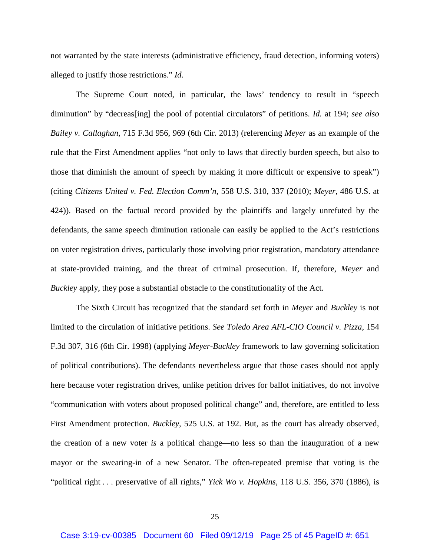not warranted by the state interests (administrative efficiency, fraud detection, informing voters) alleged to justify those restrictions." *Id.*

The Supreme Court noted, in particular, the laws' tendency to result in "speech diminution" by "decreas[ing] the pool of potential circulators" of petitions. *Id.* at 194; *see also Bailey v. Callaghan*, 715 F.3d 956, 969 (6th Cir. 2013) (referencing *Meyer* as an example of the rule that the First Amendment applies "not only to laws that directly burden speech, but also to those that diminish the amount of speech by making it more difficult or expensive to speak") (citing *Citizens United v. Fed. Election Comm'n*, 558 U.S. 310, 337 (2010); *Meyer*, 486 U.S. at 424)). Based on the factual record provided by the plaintiffs and largely unrefuted by the defendants, the same speech diminution rationale can easily be applied to the Act's restrictions on voter registration drives, particularly those involving prior registration, mandatory attendance at state-provided training, and the threat of criminal prosecution. If, therefore, *Meyer* and *Buckley* apply, they pose a substantial obstacle to the constitutionality of the Act.

The Sixth Circuit has recognized that the standard set forth in *Meyer* and *Buckley* is not limited to the circulation of initiative petitions. *See Toledo Area AFL-CIO Council v. Pizza*, 154 F.3d 307, 316 (6th Cir. 1998) (applying *Meyer-Buckley* framework to law governing solicitation of political contributions). The defendants nevertheless argue that those cases should not apply here because voter registration drives, unlike petition drives for ballot initiatives, do not involve "communication with voters about proposed political change" and, therefore, are entitled to less First Amendment protection. *Buckley*, 525 U.S. at 192. But, as the court has already observed, the creation of a new voter *is* a political change—no less so than the inauguration of a new mayor or the swearing-in of a new Senator. The often-repeated premise that voting is the "political right . . . preservative of all rights," *Yick Wo v. Hopkins*, 118 U.S. 356, 370 (1886), is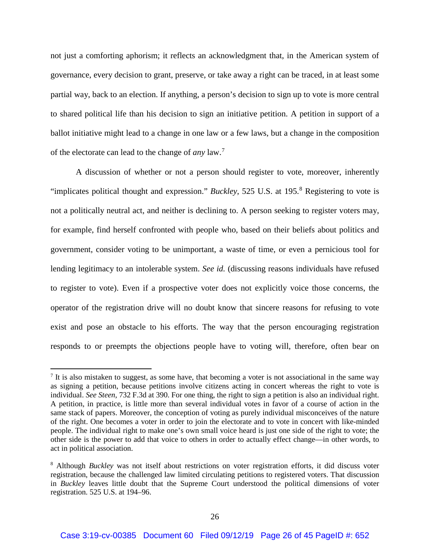not just a comforting aphorism; it reflects an acknowledgment that, in the American system of governance, every decision to grant, preserve, or take away a right can be traced, in at least some partial way, back to an election. If anything, a person's decision to sign up to vote is more central to shared political life than his decision to sign an initiative petition. A petition in support of a ballot initiative might lead to a change in one law or a few laws, but a change in the composition of the electorate can lead to the change of *any* law.<sup>7</sup>

A discussion of whether or not a person should register to vote, moreover, inherently "implicates political thought and expression." *Buckley*, 525 U.S. at 195. <sup>8</sup> Registering to vote is not a politically neutral act, and neither is declining to. A person seeking to register voters may, for example, find herself confronted with people who, based on their beliefs about politics and government, consider voting to be unimportant, a waste of time, or even a pernicious tool for lending legitimacy to an intolerable system. *See id.* (discussing reasons individuals have refused to register to vote). Even if a prospective voter does not explicitly voice those concerns, the operator of the registration drive will no doubt know that sincere reasons for refusing to vote exist and pose an obstacle to his efforts. The way that the person encouraging registration responds to or preempts the objections people have to voting will, therefore, often bear on

 $\overline{\phantom{a}}$ 

 $<sup>7</sup>$  It is also mistaken to suggest, as some have, that becoming a voter is not associational in the same way</sup> as signing a petition, because petitions involve citizens acting in concert whereas the right to vote is individual. *See Steen*, 732 F.3d at 390. For one thing, the right to sign a petition is also an individual right. A petition, in practice, is little more than several individual votes in favor of a course of action in the same stack of papers. Moreover, the conception of voting as purely individual misconceives of the nature of the right. One becomes a voter in order to join the electorate and to vote in concert with like-minded people. The individual right to make one's own small voice heard is just one side of the right to vote; the other side is the power to add that voice to others in order to actually effect change—in other words, to act in political association.

<sup>&</sup>lt;sup>8</sup> Although *Buckley* was not itself about restrictions on voter registration efforts, it did discuss voter registration, because the challenged law limited circulating petitions to registered voters. That discussion in *Buckley* leaves little doubt that the Supreme Court understood the political dimensions of voter registration. 525 U.S. at 194–96.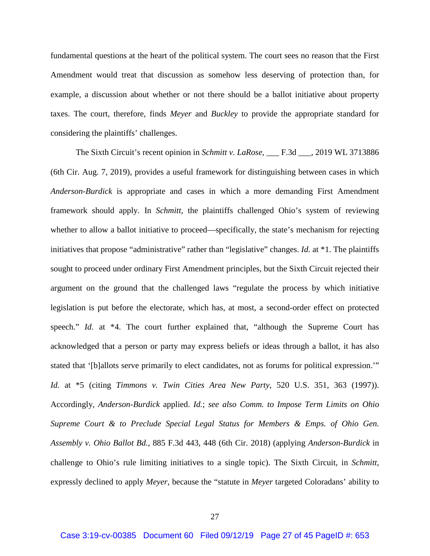fundamental questions at the heart of the political system. The court sees no reason that the First Amendment would treat that discussion as somehow less deserving of protection than, for example, a discussion about whether or not there should be a ballot initiative about property taxes. The court, therefore, finds *Meyer* and *Buckley* to provide the appropriate standard for considering the plaintiffs' challenges.

The Sixth Circuit's recent opinion in *Schmitt v. LaRose*, \_\_\_ F.3d \_\_\_, 2019 WL 3713886 (6th Cir. Aug. 7, 2019), provides a useful framework for distinguishing between cases in which *Anderson*-*Burdick* is appropriate and cases in which a more demanding First Amendment framework should apply. In *Schmitt*, the plaintiffs challenged Ohio's system of reviewing whether to allow a ballot initiative to proceed—specifically, the state's mechanism for rejecting initiatives that propose "administrative" rather than "legislative" changes. *Id.* at \*1. The plaintiffs sought to proceed under ordinary First Amendment principles, but the Sixth Circuit rejected their argument on the ground that the challenged laws "regulate the process by which initiative legislation is put before the electorate, which has, at most, a second-order effect on protected speech." *Id.* at \*4. The court further explained that, "although the Supreme Court has acknowledged that a person or party may express beliefs or ideas through a ballot, it has also stated that '[b]allots serve primarily to elect candidates, not as forums for political expression.'" *Id.* at \*5 (citing *Timmons v. Twin Cities Area New Party*, 520 U.S. 351, 363 (1997)). Accordingly, *Anderson*-*Burdick* applied. *Id.*; *see also Comm. to Impose Term Limits on Ohio Supreme Court & to Preclude Special Legal Status for Members & Emps. of Ohio Gen. Assembly v. Ohio Ballot Bd.*, 885 F.3d 443, 448 (6th Cir. 2018) (applying *Anderson*-*Burdick* in challenge to Ohio's rule limiting initiatives to a single topic). The Sixth Circuit, in *Schmitt*, expressly declined to apply *Meyer*, because the "statute in *Meyer* targeted Coloradans' ability to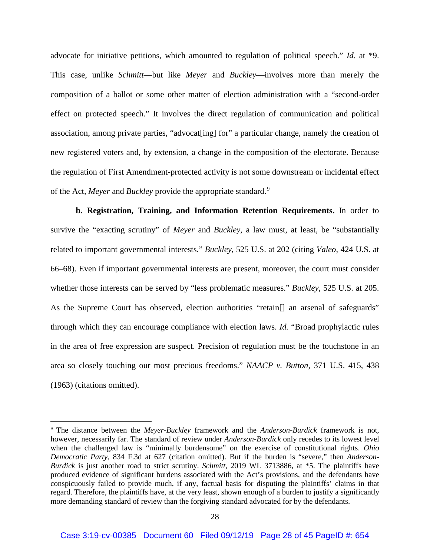advocate for initiative petitions, which amounted to regulation of political speech." *Id.* at \*9. This case, unlike *Schmitt*—but like *Meyer* and *Buckley*—involves more than merely the composition of a ballot or some other matter of election administration with a "second-order effect on protected speech." It involves the direct regulation of communication and political association, among private parties, "advocat[ing] for" a particular change, namely the creation of new registered voters and, by extension, a change in the composition of the electorate. Because the regulation of First Amendment-protected activity is not some downstream or incidental effect of the Act, *Meyer* and *Buckley* provide the appropriate standard.<sup>9</sup>

**b. Registration, Training, and Information Retention Requirements.** In order to survive the "exacting scrutiny" of *Meyer* and *Buckley*, a law must, at least, be "substantially related to important governmental interests." *Buckley*, 525 U.S. at 202 (citing *Valeo*, 424 U.S. at 66–68). Even if important governmental interests are present, moreover, the court must consider whether those interests can be served by "less problematic measures." *Buckley*, 525 U.S. at 205. As the Supreme Court has observed, election authorities "retain. and arsenal of safeguards" through which they can encourage compliance with election laws. *Id.* "Broad prophylactic rules in the area of free expression are suspect. Precision of regulation must be the touchstone in an area so closely touching our most precious freedoms." *NAACP v. Button*, 371 U.S. 415, 438 (1963) (citations omitted).

 <sup>9</sup> The distance between the *Meyer-Buckley* framework and the *Anderson-Burdick* framework is not, however, necessarily far. The standard of review under *Anderson-Burdick* only recedes to its lowest level when the challenged law is "minimally burdensome" on the exercise of constitutional rights. *Ohio Democratic Party*, 834 F.3d at 627 (citation omitted). But if the burden is "severe," then *Anderson-Burdick* is just another road to strict scrutiny. *Schmitt*, 2019 WL 3713886, at \*5. The plaintiffs have produced evidence of significant burdens associated with the Act's provisions, and the defendants have conspicuously failed to provide much, if any, factual basis for disputing the plaintiffs' claims in that regard. Therefore, the plaintiffs have, at the very least, shown enough of a burden to justify a significantly more demanding standard of review than the forgiving standard advocated for by the defendants.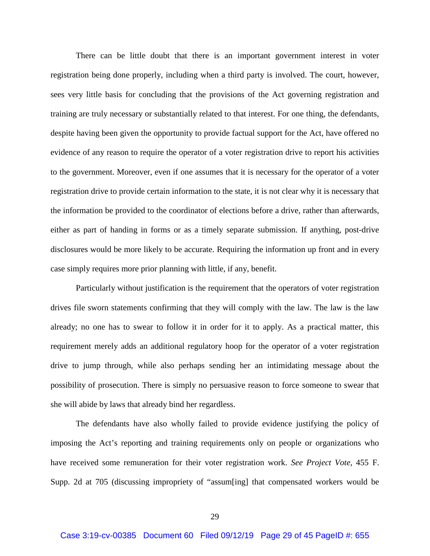There can be little doubt that there is an important government interest in voter registration being done properly, including when a third party is involved. The court, however, sees very little basis for concluding that the provisions of the Act governing registration and training are truly necessary or substantially related to that interest. For one thing, the defendants, despite having been given the opportunity to provide factual support for the Act, have offered no evidence of any reason to require the operator of a voter registration drive to report his activities to the government. Moreover, even if one assumes that it is necessary for the operator of a voter registration drive to provide certain information to the state, it is not clear why it is necessary that the information be provided to the coordinator of elections before a drive, rather than afterwards, either as part of handing in forms or as a timely separate submission. If anything, post-drive disclosures would be more likely to be accurate. Requiring the information up front and in every case simply requires more prior planning with little, if any, benefit.

Particularly without justification is the requirement that the operators of voter registration drives file sworn statements confirming that they will comply with the law. The law is the law already; no one has to swear to follow it in order for it to apply. As a practical matter, this requirement merely adds an additional regulatory hoop for the operator of a voter registration drive to jump through, while also perhaps sending her an intimidating message about the possibility of prosecution. There is simply no persuasive reason to force someone to swear that she will abide by laws that already bind her regardless.

The defendants have also wholly failed to provide evidence justifying the policy of imposing the Act's reporting and training requirements only on people or organizations who have received some remuneration for their voter registration work. *See Project Vote*, 455 F. Supp. 2d at 705 (discussing impropriety of "assum[ing] that compensated workers would be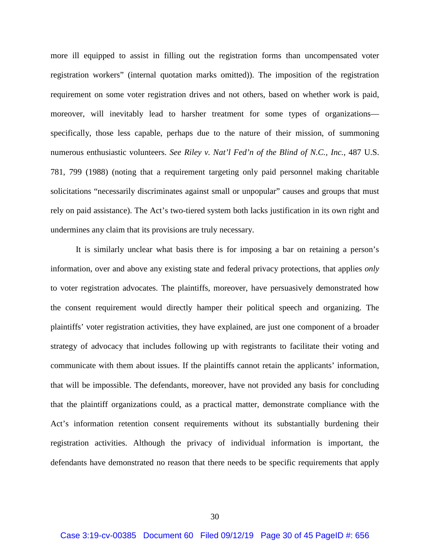more ill equipped to assist in filling out the registration forms than uncompensated voter registration workers" (internal quotation marks omitted)). The imposition of the registration requirement on some voter registration drives and not others, based on whether work is paid, moreover, will inevitably lead to harsher treatment for some types of organizations specifically, those less capable, perhaps due to the nature of their mission, of summoning numerous enthusiastic volunteers. *See Riley v. Nat'l Fed'n of the Blind of N.C., Inc.*, 487 U.S. 781, 799 (1988) (noting that a requirement targeting only paid personnel making charitable solicitations "necessarily discriminates against small or unpopular" causes and groups that must rely on paid assistance). The Act's two-tiered system both lacks justification in its own right and undermines any claim that its provisions are truly necessary.

It is similarly unclear what basis there is for imposing a bar on retaining a person's information, over and above any existing state and federal privacy protections, that applies *only* to voter registration advocates. The plaintiffs, moreover, have persuasively demonstrated how the consent requirement would directly hamper their political speech and organizing. The plaintiffs' voter registration activities, they have explained, are just one component of a broader strategy of advocacy that includes following up with registrants to facilitate their voting and communicate with them about issues. If the plaintiffs cannot retain the applicants' information, that will be impossible. The defendants, moreover, have not provided any basis for concluding that the plaintiff organizations could, as a practical matter, demonstrate compliance with the Act's information retention consent requirements without its substantially burdening their registration activities. Although the privacy of individual information is important, the defendants have demonstrated no reason that there needs to be specific requirements that apply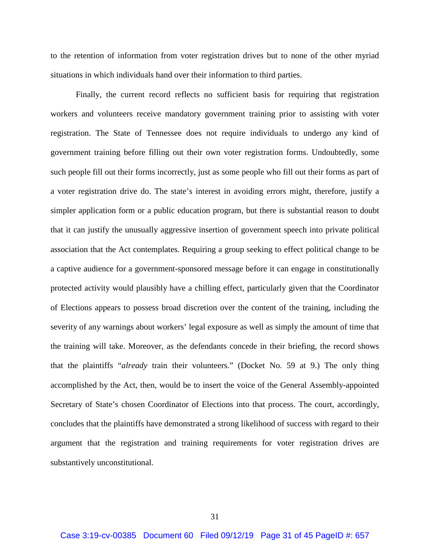to the retention of information from voter registration drives but to none of the other myriad situations in which individuals hand over their information to third parties.

Finally, the current record reflects no sufficient basis for requiring that registration workers and volunteers receive mandatory government training prior to assisting with voter registration. The State of Tennessee does not require individuals to undergo any kind of government training before filling out their own voter registration forms. Undoubtedly, some such people fill out their forms incorrectly, just as some people who fill out their forms as part of a voter registration drive do. The state's interest in avoiding errors might, therefore, justify a simpler application form or a public education program, but there is substantial reason to doubt that it can justify the unusually aggressive insertion of government speech into private political association that the Act contemplates. Requiring a group seeking to effect political change to be a captive audience for a government-sponsored message before it can engage in constitutionally protected activity would plausibly have a chilling effect, particularly given that the Coordinator of Elections appears to possess broad discretion over the content of the training, including the severity of any warnings about workers' legal exposure as well as simply the amount of time that the training will take. Moreover, as the defendants concede in their briefing, the record shows that the plaintiffs "*already* train their volunteers." (Docket No. 59 at 9.) The only thing accomplished by the Act, then, would be to insert the voice of the General Assembly-appointed Secretary of State's chosen Coordinator of Elections into that process. The court, accordingly, concludes that the plaintiffs have demonstrated a strong likelihood of success with regard to their argument that the registration and training requirements for voter registration drives are substantively unconstitutional.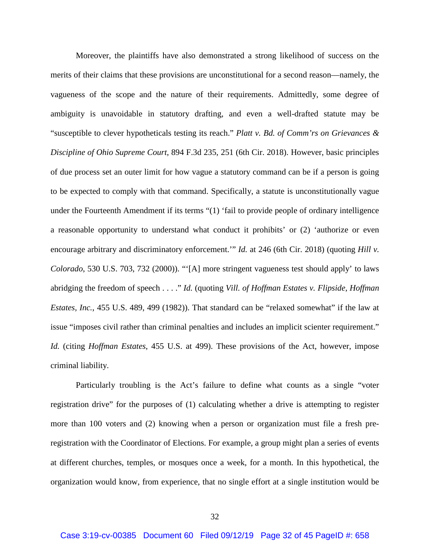Moreover, the plaintiffs have also demonstrated a strong likelihood of success on the merits of their claims that these provisions are unconstitutional for a second reason—namely, the vagueness of the scope and the nature of their requirements. Admittedly, some degree of ambiguity is unavoidable in statutory drafting, and even a well-drafted statute may be "susceptible to clever hypotheticals testing its reach." *Platt v. Bd. of Comm'rs on Grievances & Discipline of Ohio Supreme Court*, 894 F.3d 235, 251 (6th Cir. 2018). However, basic principles of due process set an outer limit for how vague a statutory command can be if a person is going to be expected to comply with that command. Specifically, a statute is unconstitutionally vague under the Fourteenth Amendment if its terms "(1) 'fail to provide people of ordinary intelligence a reasonable opportunity to understand what conduct it prohibits' or (2) 'authorize or even encourage arbitrary and discriminatory enforcement.'" *Id.* at 246 (6th Cir. 2018) (quoting *Hill v. Colorado*, 530 U.S. 703, 732 (2000)). "'[A] more stringent vagueness test should apply' to laws abridging the freedom of speech . . . ." *Id.* (quoting *Vill. of Hoffman Estates v. Flipside, Hoffman Estates, Inc.*, 455 U.S. 489, 499 (1982)). That standard can be "relaxed somewhat" if the law at issue "imposes civil rather than criminal penalties and includes an implicit scienter requirement." *Id.* (citing *Hoffman Estates*, 455 U.S. at 499). These provisions of the Act, however, impose criminal liability.

Particularly troubling is the Act's failure to define what counts as a single "voter registration drive" for the purposes of (1) calculating whether a drive is attempting to register more than 100 voters and (2) knowing when a person or organization must file a fresh preregistration with the Coordinator of Elections. For example, a group might plan a series of events at different churches, temples, or mosques once a week, for a month. In this hypothetical, the organization would know, from experience, that no single effort at a single institution would be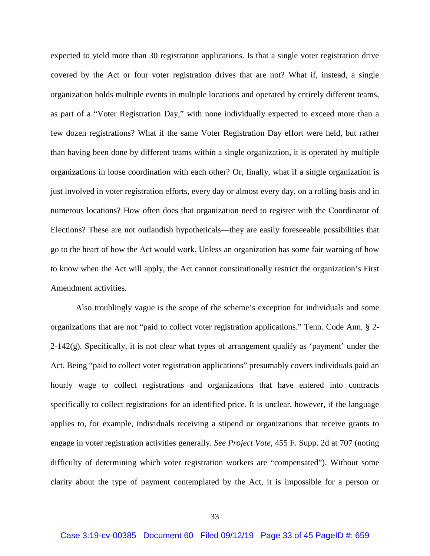expected to yield more than 30 registration applications. Is that a single voter registration drive covered by the Act or four voter registration drives that are not? What if, instead, a single organization holds multiple events in multiple locations and operated by entirely different teams, as part of a "Voter Registration Day," with none individually expected to exceed more than a few dozen registrations? What if the same Voter Registration Day effort were held, but rather than having been done by different teams within a single organization, it is operated by multiple organizations in loose coordination with each other? Or, finally, what if a single organization is just involved in voter registration efforts, every day or almost every day, on a rolling basis and in numerous locations? How often does that organization need to register with the Coordinator of Elections? These are not outlandish hypotheticals—they are easily foreseeable possibilities that go to the heart of how the Act would work. Unless an organization has some fair warning of how to know when the Act will apply, the Act cannot constitutionally restrict the organization's First Amendment activities.

Also troublingly vague is the scope of the scheme's exception for individuals and some organizations that are not "paid to collect voter registration applications." Tenn. Code Ann. § 2- 2-142(g). Specifically, it is not clear what types of arrangement qualify as 'payment' under the Act. Being "paid to collect voter registration applications" presumably covers individuals paid an hourly wage to collect registrations and organizations that have entered into contracts specifically to collect registrations for an identified price. It is unclear, however, if the language applies to, for example, individuals receiving a stipend or organizations that receive grants to engage in voter registration activities generally. *See Project Vote*, 455 F. Supp. 2d at 707 (noting difficulty of determining which voter registration workers are "compensated"). Without some clarity about the type of payment contemplated by the Act, it is impossible for a person or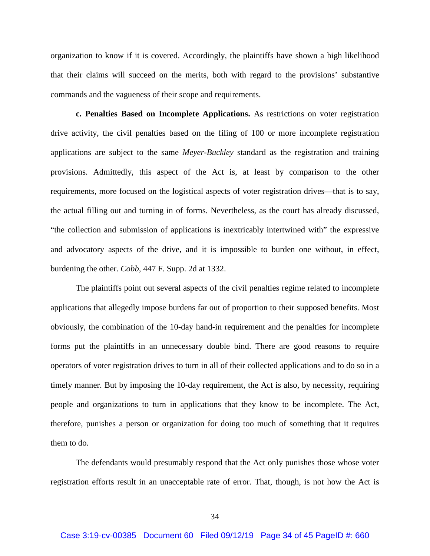organization to know if it is covered. Accordingly, the plaintiffs have shown a high likelihood that their claims will succeed on the merits, both with regard to the provisions' substantive commands and the vagueness of their scope and requirements.

**c. Penalties Based on Incomplete Applications.** As restrictions on voter registration drive activity, the civil penalties based on the filing of 100 or more incomplete registration applications are subject to the same *Meyer-Buckley* standard as the registration and training provisions. Admittedly, this aspect of the Act is, at least by comparison to the other requirements, more focused on the logistical aspects of voter registration drives—that is to say, the actual filling out and turning in of forms. Nevertheless, as the court has already discussed, "the collection and submission of applications is inextricably intertwined with" the expressive and advocatory aspects of the drive, and it is impossible to burden one without, in effect, burdening the other. *Cobb*, 447 F. Supp. 2d at 1332.

The plaintiffs point out several aspects of the civil penalties regime related to incomplete applications that allegedly impose burdens far out of proportion to their supposed benefits. Most obviously, the combination of the 10-day hand-in requirement and the penalties for incomplete forms put the plaintiffs in an unnecessary double bind. There are good reasons to require operators of voter registration drives to turn in all of their collected applications and to do so in a timely manner. But by imposing the 10-day requirement, the Act is also, by necessity, requiring people and organizations to turn in applications that they know to be incomplete. The Act, therefore, punishes a person or organization for doing too much of something that it requires them to do.

The defendants would presumably respond that the Act only punishes those whose voter registration efforts result in an unacceptable rate of error. That, though, is not how the Act is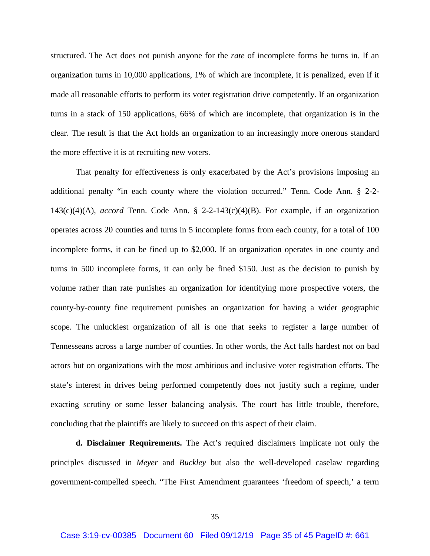structured. The Act does not punish anyone for the *rate* of incomplete forms he turns in. If an organization turns in 10,000 applications, 1% of which are incomplete, it is penalized, even if it made all reasonable efforts to perform its voter registration drive competently. If an organization turns in a stack of 150 applications, 66% of which are incomplete, that organization is in the clear. The result is that the Act holds an organization to an increasingly more onerous standard the more effective it is at recruiting new voters.

That penalty for effectiveness is only exacerbated by the Act's provisions imposing an additional penalty "in each county where the violation occurred." Tenn. Code Ann. § 2-2- 143(c)(4)(A), *accord* Tenn. Code Ann. § 2-2-143(c)(4)(B). For example, if an organization operates across 20 counties and turns in 5 incomplete forms from each county, for a total of 100 incomplete forms, it can be fined up to \$2,000. If an organization operates in one county and turns in 500 incomplete forms, it can only be fined \$150. Just as the decision to punish by volume rather than rate punishes an organization for identifying more prospective voters, the county-by-county fine requirement punishes an organization for having a wider geographic scope. The unluckiest organization of all is one that seeks to register a large number of Tennesseans across a large number of counties. In other words, the Act falls hardest not on bad actors but on organizations with the most ambitious and inclusive voter registration efforts. The state's interest in drives being performed competently does not justify such a regime, under exacting scrutiny or some lesser balancing analysis. The court has little trouble, therefore, concluding that the plaintiffs are likely to succeed on this aspect of their claim.

**d. Disclaimer Requirements.** The Act's required disclaimers implicate not only the principles discussed in *Meyer* and *Buckley* but also the well-developed caselaw regarding government-compelled speech. "The First Amendment guarantees 'freedom of speech,' a term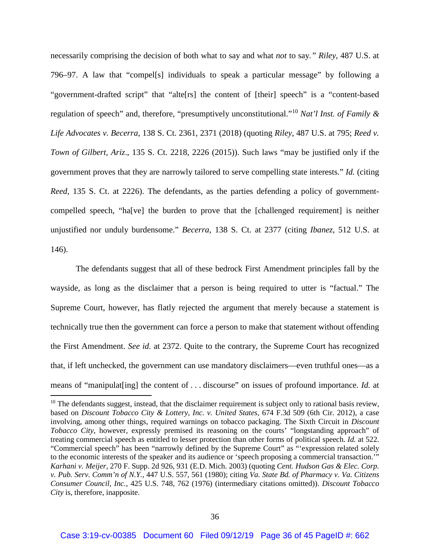necessarily comprising the decision of both what to say and what *not* to say*." Riley*, 487 U.S. at 796–97. A law that "compel[s] individuals to speak a particular message" by following a "government-drafted script" that "alte[rs] the content of [their] speech" is a "content-based regulation of speech" and, therefore, "presumptively unconstitutional."<sup>10</sup> *Nat'l Inst. of Family & Life Advocates v. Becerra*, 138 S. Ct. 2361, 2371 (2018) (quoting *Riley*, 487 U.S. at 795; *Reed v. Town of Gilbert, Ariz*., 135 S. Ct. 2218, 2226 (2015)). Such laws "may be justified only if the government proves that they are narrowly tailored to serve compelling state interests." *Id.* (citing *Reed*, 135 S. Ct. at 2226). The defendants, as the parties defending a policy of governmentcompelled speech, "ha[ve] the burden to prove that the [challenged requirement] is neither unjustified nor unduly burdensome." *Becerra*, 138 S. Ct. at 2377 (citing *Ibanez*, 512 U.S. at 146).

The defendants suggest that all of these bedrock First Amendment principles fall by the wayside, as long as the disclaimer that a person is being required to utter is "factual." The Supreme Court, however, has flatly rejected the argument that merely because a statement is technically true then the government can force a person to make that statement without offending the First Amendment. *See id.* at 2372. Quite to the contrary, the Supreme Court has recognized that, if left unchecked, the government can use mandatory disclaimers—even truthful ones—as a means of "manipulat[ing] the content of . . . discourse" on issues of profound importance. *Id.* at

 $\overline{\phantom{a}}$ 

<sup>&</sup>lt;sup>10</sup> The defendants suggest, instead, that the disclaimer requirement is subject only to rational basis review, based on *Discount Tobacco City & Lottery, Inc. v. United States*, 674 F.3d 509 (6th Cir. 2012), a case involving, among other things, required warnings on tobacco packaging. The Sixth Circuit in *Discount Tobacco City*, however, expressly premised its reasoning on the courts' "longstanding approach" of treating commercial speech as entitled to lesser protection than other forms of political speech. *Id.* at 522. "Commercial speech" has been "narrowly defined by the Supreme Court" as "'expression related solely to the economic interests of the speaker and its audience or 'speech proposing a commercial transaction.'" *Karhani v. Meijer*, 270 F. Supp. 2d 926, 931 (E.D. Mich. 2003) (quoting *Cent. Hudson Gas & Elec. Corp. v. Pub. Serv. Comm'n of N.Y.*, 447 U.S. 557, 561 (1980); citing *Va. State Bd. of Pharmacy v. Va. Citizens Consumer Council, Inc.*, 425 U.S. 748, 762 (1976) (intermediary citations omitted)). *Discount Tobacco City* is, therefore, inapposite.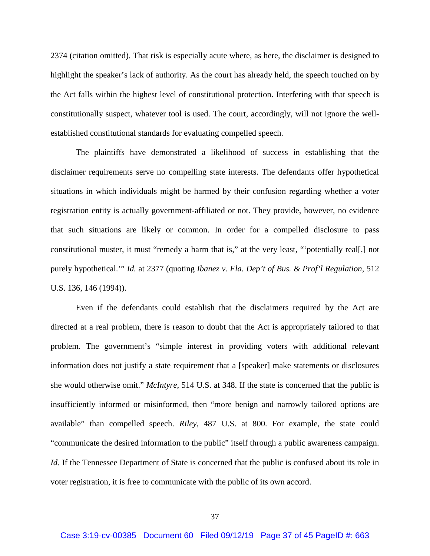2374 (citation omitted). That risk is especially acute where, as here, the disclaimer is designed to highlight the speaker's lack of authority. As the court has already held, the speech touched on by the Act falls within the highest level of constitutional protection. Interfering with that speech is constitutionally suspect, whatever tool is used. The court, accordingly, will not ignore the wellestablished constitutional standards for evaluating compelled speech.

The plaintiffs have demonstrated a likelihood of success in establishing that the disclaimer requirements serve no compelling state interests. The defendants offer hypothetical situations in which individuals might be harmed by their confusion regarding whether a voter registration entity is actually government-affiliated or not. They provide, however, no evidence that such situations are likely or common. In order for a compelled disclosure to pass constitutional muster, it must "remedy a harm that is," at the very least, "'potentially real[,] not purely hypothetical.'" *Id.* at 2377 (quoting *Ibanez v. Fla. Dep't of Bus. & Prof'l Regulation*, 512 U.S. 136, 146 (1994)).

Even if the defendants could establish that the disclaimers required by the Act are directed at a real problem, there is reason to doubt that the Act is appropriately tailored to that problem. The government's "simple interest in providing voters with additional relevant information does not justify a state requirement that a [speaker] make statements or disclosures she would otherwise omit." *McIntyre*, 514 U.S. at 348. If the state is concerned that the public is insufficiently informed or misinformed, then "more benign and narrowly tailored options are available" than compelled speech. *Riley*, 487 U.S. at 800. For example, the state could "communicate the desired information to the public" itself through a public awareness campaign. *Id.* If the Tennessee Department of State is concerned that the public is confused about its role in voter registration, it is free to communicate with the public of its own accord.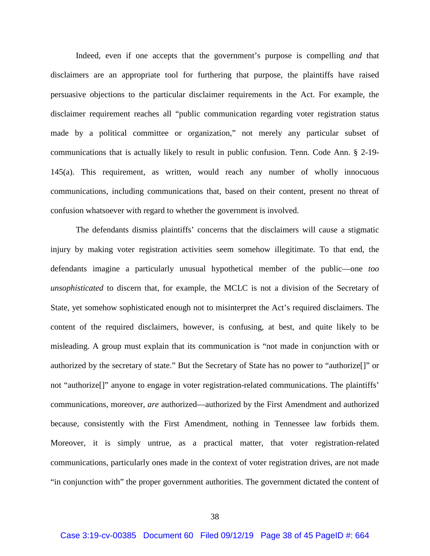Indeed, even if one accepts that the government's purpose is compelling *and* that disclaimers are an appropriate tool for furthering that purpose, the plaintiffs have raised persuasive objections to the particular disclaimer requirements in the Act. For example, the disclaimer requirement reaches all "public communication regarding voter registration status made by a political committee or organization," not merely any particular subset of communications that is actually likely to result in public confusion. Tenn. Code Ann. § 2-19- 145(a). This requirement, as written, would reach any number of wholly innocuous communications, including communications that, based on their content, present no threat of confusion whatsoever with regard to whether the government is involved.

The defendants dismiss plaintiffs' concerns that the disclaimers will cause a stigmatic injury by making voter registration activities seem somehow illegitimate. To that end, the defendants imagine a particularly unusual hypothetical member of the public—one *too unsophisticated* to discern that, for example, the MCLC is not a division of the Secretary of State, yet somehow sophisticated enough not to misinterpret the Act's required disclaimers. The content of the required disclaimers, however, is confusing, at best, and quite likely to be misleading. A group must explain that its communication is "not made in conjunction with or authorized by the secretary of state." But the Secretary of State has no power to "authorize[]" or not "authorize<sup>[]"</sup> anyone to engage in voter registration-related communications. The plaintiffs' communications, moreover, *are* authorized—authorized by the First Amendment and authorized because, consistently with the First Amendment, nothing in Tennessee law forbids them. Moreover, it is simply untrue, as a practical matter, that voter registration-related communications, particularly ones made in the context of voter registration drives, are not made "in conjunction with" the proper government authorities. The government dictated the content of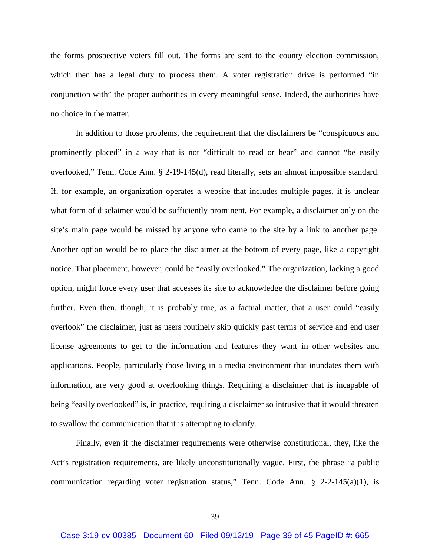the forms prospective voters fill out. The forms are sent to the county election commission, which then has a legal duty to process them. A voter registration drive is performed "in conjunction with" the proper authorities in every meaningful sense. Indeed, the authorities have no choice in the matter.

In addition to those problems, the requirement that the disclaimers be "conspicuous and prominently placed" in a way that is not "difficult to read or hear" and cannot "be easily overlooked," Tenn. Code Ann. § 2-19-145(d), read literally, sets an almost impossible standard. If, for example, an organization operates a website that includes multiple pages, it is unclear what form of disclaimer would be sufficiently prominent. For example, a disclaimer only on the site's main page would be missed by anyone who came to the site by a link to another page. Another option would be to place the disclaimer at the bottom of every page, like a copyright notice. That placement, however, could be "easily overlooked." The organization, lacking a good option, might force every user that accesses its site to acknowledge the disclaimer before going further. Even then, though, it is probably true, as a factual matter, that a user could "easily overlook" the disclaimer, just as users routinely skip quickly past terms of service and end user license agreements to get to the information and features they want in other websites and applications. People, particularly those living in a media environment that inundates them with information, are very good at overlooking things. Requiring a disclaimer that is incapable of being "easily overlooked" is, in practice, requiring a disclaimer so intrusive that it would threaten to swallow the communication that it is attempting to clarify.

Finally, even if the disclaimer requirements were otherwise constitutional, they, like the Act's registration requirements, are likely unconstitutionally vague. First, the phrase "a public communication regarding voter registration status," Tenn. Code Ann. § 2-2-145(a)(1), is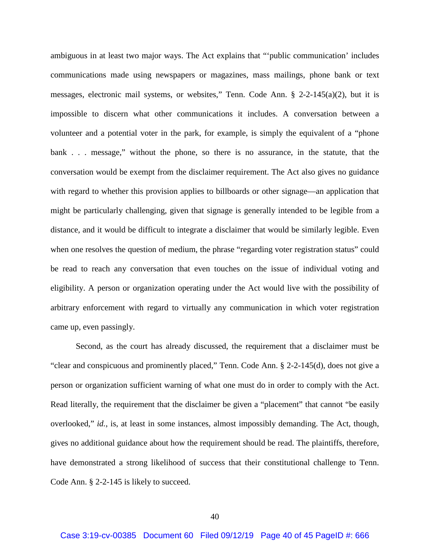ambiguous in at least two major ways. The Act explains that "'public communication' includes communications made using newspapers or magazines, mass mailings, phone bank or text messages, electronic mail systems, or websites," Tenn. Code Ann. § 2-2-145(a)(2), but it is impossible to discern what other communications it includes. A conversation between a volunteer and a potential voter in the park, for example, is simply the equivalent of a "phone bank . . . message," without the phone, so there is no assurance, in the statute, that the conversation would be exempt from the disclaimer requirement. The Act also gives no guidance with regard to whether this provision applies to billboards or other signage—an application that might be particularly challenging, given that signage is generally intended to be legible from a distance, and it would be difficult to integrate a disclaimer that would be similarly legible. Even when one resolves the question of medium, the phrase "regarding voter registration status" could be read to reach any conversation that even touches on the issue of individual voting and eligibility. A person or organization operating under the Act would live with the possibility of arbitrary enforcement with regard to virtually any communication in which voter registration came up, even passingly.

Second, as the court has already discussed, the requirement that a disclaimer must be "clear and conspicuous and prominently placed," Tenn. Code Ann. § 2-2-145(d), does not give a person or organization sufficient warning of what one must do in order to comply with the Act. Read literally, the requirement that the disclaimer be given a "placement" that cannot "be easily overlooked," *id.*, is, at least in some instances, almost impossibly demanding. The Act, though, gives no additional guidance about how the requirement should be read. The plaintiffs, therefore, have demonstrated a strong likelihood of success that their constitutional challenge to Tenn. Code Ann. § 2-2-145 is likely to succeed.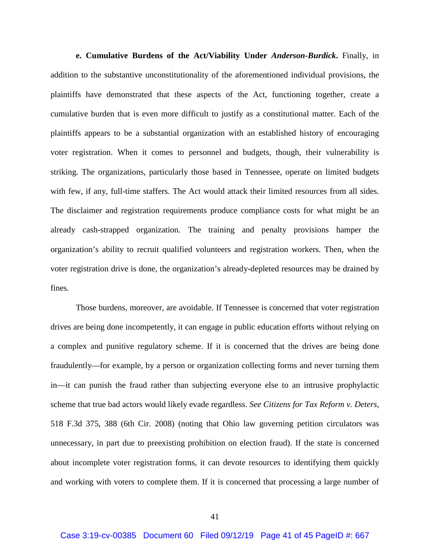**e. Cumulative Burdens of the Act/Viability Under** *Anderson-Burdick***.** Finally, in addition to the substantive unconstitutionality of the aforementioned individual provisions, the plaintiffs have demonstrated that these aspects of the Act, functioning together, create a cumulative burden that is even more difficult to justify as a constitutional matter. Each of the plaintiffs appears to be a substantial organization with an established history of encouraging voter registration. When it comes to personnel and budgets, though, their vulnerability is striking. The organizations, particularly those based in Tennessee, operate on limited budgets with few, if any, full-time staffers. The Act would attack their limited resources from all sides. The disclaimer and registration requirements produce compliance costs for what might be an already cash-strapped organization. The training and penalty provisions hamper the organization's ability to recruit qualified volunteers and registration workers. Then, when the voter registration drive is done, the organization's already-depleted resources may be drained by fines.

Those burdens, moreover, are avoidable. If Tennessee is concerned that voter registration drives are being done incompetently, it can engage in public education efforts without relying on a complex and punitive regulatory scheme. If it is concerned that the drives are being done fraudulently—for example, by a person or organization collecting forms and never turning them in—it can punish the fraud rather than subjecting everyone else to an intrusive prophylactic scheme that true bad actors would likely evade regardless. *See Citizens for Tax Reform v. Deters*, 518 F.3d 375, 388 (6th Cir. 2008) (noting that Ohio law governing petition circulators was unnecessary, in part due to preexisting prohibition on election fraud). If the state is concerned about incomplete voter registration forms, it can devote resources to identifying them quickly and working with voters to complete them. If it is concerned that processing a large number of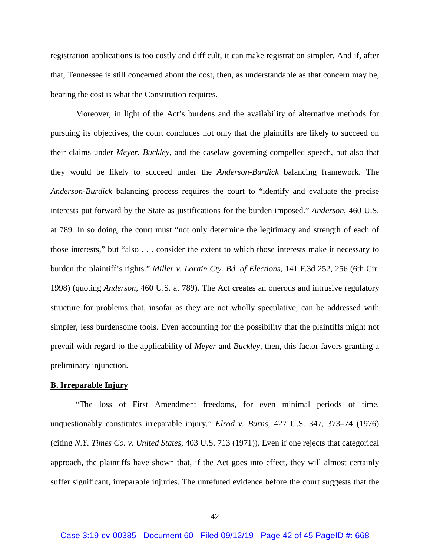registration applications is too costly and difficult, it can make registration simpler. And if, after that, Tennessee is still concerned about the cost, then, as understandable as that concern may be, bearing the cost is what the Constitution requires.

Moreover, in light of the Act's burdens and the availability of alternative methods for pursuing its objectives, the court concludes not only that the plaintiffs are likely to succeed on their claims under *Meyer*, *Buckley*, and the caselaw governing compelled speech, but also that they would be likely to succeed under the *Anderson*-*Burdick* balancing framework. The *Anderson-Burdick* balancing process requires the court to "identify and evaluate the precise interests put forward by the State as justifications for the burden imposed." *Anderson*, 460 U.S. at 789. In so doing, the court must "not only determine the legitimacy and strength of each of those interests," but "also . . . consider the extent to which those interests make it necessary to burden the plaintiff's rights." *Miller v. Lorain Cty. Bd. of Elections*, 141 F.3d 252, 256 (6th Cir. 1998) (quoting *Anderson*, 460 U.S. at 789). The Act creates an onerous and intrusive regulatory structure for problems that, insofar as they are not wholly speculative, can be addressed with simpler, less burdensome tools. Even accounting for the possibility that the plaintiffs might not prevail with regard to the applicability of *Meyer* and *Buckley*, then, this factor favors granting a preliminary injunction.

### **B. Irreparable Injury**

"The loss of First Amendment freedoms, for even minimal periods of time, unquestionably constitutes irreparable injury." *Elrod v. Burns*, 427 U.S. 347, 373–74 (1976) (citing *N.Y. Times Co. v. United States*, 403 U.S. 713 (1971)). Even if one rejects that categorical approach, the plaintiffs have shown that, if the Act goes into effect, they will almost certainly suffer significant, irreparable injuries. The unrefuted evidence before the court suggests that the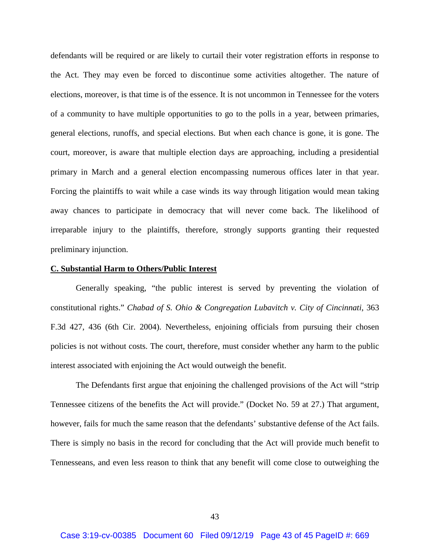defendants will be required or are likely to curtail their voter registration efforts in response to the Act. They may even be forced to discontinue some activities altogether. The nature of elections, moreover, is that time is of the essence. It is not uncommon in Tennessee for the voters of a community to have multiple opportunities to go to the polls in a year, between primaries, general elections, runoffs, and special elections. But when each chance is gone, it is gone. The court, moreover, is aware that multiple election days are approaching, including a presidential primary in March and a general election encompassing numerous offices later in that year. Forcing the plaintiffs to wait while a case winds its way through litigation would mean taking away chances to participate in democracy that will never come back. The likelihood of irreparable injury to the plaintiffs, therefore, strongly supports granting their requested preliminary injunction.

### **C. Substantial Harm to Others/Public Interest**

Generally speaking, "the public interest is served by preventing the violation of constitutional rights." *Chabad of S. Ohio & Congregation Lubavitch v. City of Cincinnati*, 363 F.3d 427, 436 (6th Cir. 2004). Nevertheless, enjoining officials from pursuing their chosen policies is not without costs. The court, therefore, must consider whether any harm to the public interest associated with enjoining the Act would outweigh the benefit.

The Defendants first argue that enjoining the challenged provisions of the Act will "strip Tennessee citizens of the benefits the Act will provide." (Docket No. 59 at 27.) That argument, however, fails for much the same reason that the defendants' substantive defense of the Act fails. There is simply no basis in the record for concluding that the Act will provide much benefit to Tennesseans, and even less reason to think that any benefit will come close to outweighing the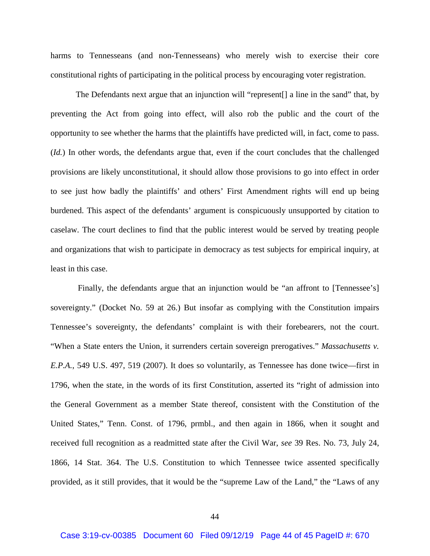harms to Tennesseans (and non-Tennesseans) who merely wish to exercise their core constitutional rights of participating in the political process by encouraging voter registration.

The Defendants next argue that an injunction will "represent[] a line in the sand" that, by preventing the Act from going into effect, will also rob the public and the court of the opportunity to see whether the harms that the plaintiffs have predicted will, in fact, come to pass. (*Id.*) In other words, the defendants argue that, even if the court concludes that the challenged provisions are likely unconstitutional, it should allow those provisions to go into effect in order to see just how badly the plaintiffs' and others' First Amendment rights will end up being burdened. This aspect of the defendants' argument is conspicuously unsupported by citation to caselaw. The court declines to find that the public interest would be served by treating people and organizations that wish to participate in democracy as test subjects for empirical inquiry, at least in this case.

Finally, the defendants argue that an injunction would be "an affront to [Tennessee's] sovereignty." (Docket No. 59 at 26.) But insofar as complying with the Constitution impairs Tennessee's sovereignty, the defendants' complaint is with their forebearers, not the court. "When a State enters the Union, it surrenders certain sovereign prerogatives." *Massachusetts v. E.P.A.*, 549 U.S. 497, 519 (2007). It does so voluntarily, as Tennessee has done twice—first in 1796, when the state, in the words of its first Constitution, asserted its "right of admission into the General Government as a member State thereof, consistent with the Constitution of the United States," Tenn. Const. of 1796, prmbl., and then again in 1866, when it sought and received full recognition as a readmitted state after the Civil War, *see* 39 Res. No. 73, July 24, 1866, 14 Stat. 364. The U.S. Constitution to which Tennessee twice assented specifically provided, as it still provides, that it would be the "supreme Law of the Land," the "Laws of any